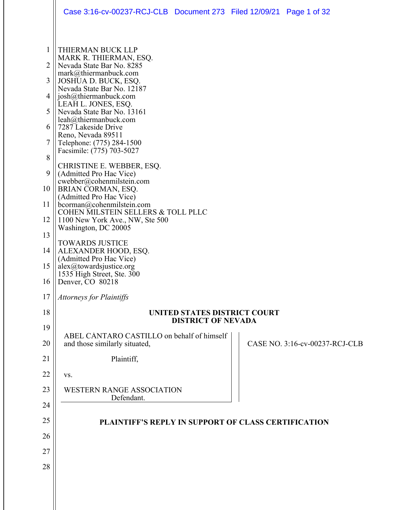|                                                                                           | Case 3:16-cv-00237-RCJ-CLB Document 273 Filed 12/09/21 Page 1 of 32                                                                                                                                                                                                                                                                                                                                                                                                                                                                                                                                                                                                                                                                                                                                                                    |                                |
|-------------------------------------------------------------------------------------------|----------------------------------------------------------------------------------------------------------------------------------------------------------------------------------------------------------------------------------------------------------------------------------------------------------------------------------------------------------------------------------------------------------------------------------------------------------------------------------------------------------------------------------------------------------------------------------------------------------------------------------------------------------------------------------------------------------------------------------------------------------------------------------------------------------------------------------------|--------------------------------|
| 1<br>2<br>3<br>4<br>5<br>6<br>7<br>8<br>9<br>10<br>11<br>12<br>13<br>14<br>15<br>16<br>17 | THIERMAN BUCK LLP<br>MARK R. THIERMAN, ESQ.<br>Nevada State Bar No. 8285<br>mark@thiermanbuck.com<br>JOSHUA D. BUCK, ESQ.<br>Nevada State Bar No. 12187<br>josh@thiermanbuck.com<br>LEAH L. JONES, ESQ.<br>Nevada State Bar No. 13161<br>leah@thiermanbuck.com<br>7287 Lakeside Drive<br>Reno, Nevada 89511<br>Telephone: (775) 284-1500<br>Facsimile: (775) 703-5027<br>CHRISTINE E. WEBBER, ESQ.<br>(Admitted Pro Hac Vice)<br>cwebber@cohenmilstein.com<br>BRIAN CORMAN, ESQ.<br>(Admitted Pro Hac Vice)<br>bcorman@cohenmilstein.com<br>COHEN MILSTEIN SELLERS & TOLL PLLC<br>1100 New York Ave., NW, Ste 500<br>Washington, DC 20005<br><b>TOWARDS JUSTICE</b><br>ALEXANDER HOOD, ESQ.<br>(Admitted Pro Hac Vice)<br>alex@towardsjustice.org<br>1535 High Street, Ste. 300<br>Denver, CO 80218<br><b>Attorneys for Plaintiffs</b> |                                |
| 18                                                                                        | <b>UNITED STATES DISTRICT COURT</b>                                                                                                                                                                                                                                                                                                                                                                                                                                                                                                                                                                                                                                                                                                                                                                                                    |                                |
| 19                                                                                        | <b>DISTRICT OF NEVADA</b>                                                                                                                                                                                                                                                                                                                                                                                                                                                                                                                                                                                                                                                                                                                                                                                                              |                                |
| 20                                                                                        | ABEL CÁNTARO CASTILLO on behalf of himself<br>and those similarly situated,                                                                                                                                                                                                                                                                                                                                                                                                                                                                                                                                                                                                                                                                                                                                                            | CASE NO. 3:16-cv-00237-RCJ-CLB |
| 21                                                                                        | Plaintiff,                                                                                                                                                                                                                                                                                                                                                                                                                                                                                                                                                                                                                                                                                                                                                                                                                             |                                |
| 22                                                                                        | VS.                                                                                                                                                                                                                                                                                                                                                                                                                                                                                                                                                                                                                                                                                                                                                                                                                                    |                                |
| 23                                                                                        | <b>WESTERN RANGE ASSOCIATION</b><br>Defendant.                                                                                                                                                                                                                                                                                                                                                                                                                                                                                                                                                                                                                                                                                                                                                                                         |                                |
| 24                                                                                        |                                                                                                                                                                                                                                                                                                                                                                                                                                                                                                                                                                                                                                                                                                                                                                                                                                        |                                |
| 25                                                                                        | PLAINTIFF'S REPLY IN SUPPORT OF CLASS CERTIFICATION                                                                                                                                                                                                                                                                                                                                                                                                                                                                                                                                                                                                                                                                                                                                                                                    |                                |
| 26                                                                                        |                                                                                                                                                                                                                                                                                                                                                                                                                                                                                                                                                                                                                                                                                                                                                                                                                                        |                                |
| 27                                                                                        |                                                                                                                                                                                                                                                                                                                                                                                                                                                                                                                                                                                                                                                                                                                                                                                                                                        |                                |
| 28                                                                                        |                                                                                                                                                                                                                                                                                                                                                                                                                                                                                                                                                                                                                                                                                                                                                                                                                                        |                                |
|                                                                                           |                                                                                                                                                                                                                                                                                                                                                                                                                                                                                                                                                                                                                                                                                                                                                                                                                                        |                                |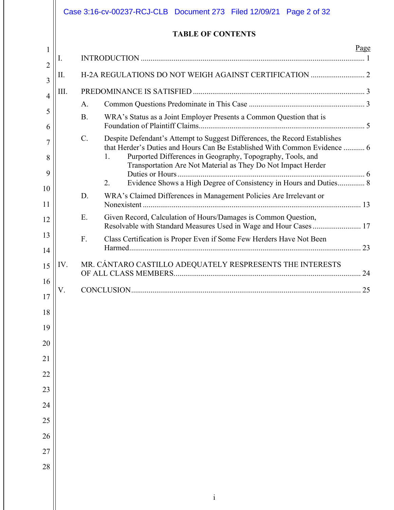|                | Case 3:16-cv-00237-RCJ-CLB Document 273 Filed 12/09/21 Page 2 of 32 |                                                                                                                                                                                                               |  |  |  |  |  |  |
|----------------|---------------------------------------------------------------------|---------------------------------------------------------------------------------------------------------------------------------------------------------------------------------------------------------------|--|--|--|--|--|--|
|                | <b>TABLE OF CONTENTS</b>                                            |                                                                                                                                                                                                               |  |  |  |  |  |  |
| 1              | I.                                                                  | Page                                                                                                                                                                                                          |  |  |  |  |  |  |
| $\overline{2}$ | Π.                                                                  |                                                                                                                                                                                                               |  |  |  |  |  |  |
| 3              | III.                                                                |                                                                                                                                                                                                               |  |  |  |  |  |  |
| 4              |                                                                     | A.                                                                                                                                                                                                            |  |  |  |  |  |  |
| 5<br>6         |                                                                     | WRA's Status as a Joint Employer Presents a Common Question that is<br><b>B.</b>                                                                                                                              |  |  |  |  |  |  |
| 7              |                                                                     | Despite Defendant's Attempt to Suggest Differences, the Record Establishes<br>$C$ .                                                                                                                           |  |  |  |  |  |  |
| 8              |                                                                     | that Herder's Duties and Hours Can Be Established With Common Evidence  6<br>Purported Differences in Geography, Topography, Tools, and<br>1.<br>Transportation Are Not Material as They Do Not Impact Herder |  |  |  |  |  |  |
| 9              |                                                                     |                                                                                                                                                                                                               |  |  |  |  |  |  |
| 10             |                                                                     | Evidence Shows a High Degree of Consistency in Hours and Duties 8<br>2.<br>D.<br>WRA's Claimed Differences in Management Policies Are Irrelevant or                                                           |  |  |  |  |  |  |
| 11             |                                                                     |                                                                                                                                                                                                               |  |  |  |  |  |  |
| 12             |                                                                     | Given Record, Calculation of Hours/Damages is Common Question,<br>E.<br>Resolvable with Standard Measures Used in Wage and Hour Cases 17                                                                      |  |  |  |  |  |  |
| 13             |                                                                     | Class Certification is Proper Even if Some Few Herders Have Not Been<br>F.                                                                                                                                    |  |  |  |  |  |  |
| 14             |                                                                     |                                                                                                                                                                                                               |  |  |  |  |  |  |
| 15             | IV.                                                                 | MR. CÁNTARO CASTILLO ADEQUATELY RESPRESENTS THE INTERESTS                                                                                                                                                     |  |  |  |  |  |  |
| 16             |                                                                     | CONCI HISION<br>つく                                                                                                                                                                                            |  |  |  |  |  |  |
| 17<br>18       |                                                                     |                                                                                                                                                                                                               |  |  |  |  |  |  |
| 19             |                                                                     |                                                                                                                                                                                                               |  |  |  |  |  |  |
| 20             |                                                                     |                                                                                                                                                                                                               |  |  |  |  |  |  |
| 21             |                                                                     |                                                                                                                                                                                                               |  |  |  |  |  |  |
| 22             |                                                                     |                                                                                                                                                                                                               |  |  |  |  |  |  |
| 23             |                                                                     |                                                                                                                                                                                                               |  |  |  |  |  |  |
| 24             |                                                                     |                                                                                                                                                                                                               |  |  |  |  |  |  |
| 25             |                                                                     |                                                                                                                                                                                                               |  |  |  |  |  |  |
| 26             |                                                                     |                                                                                                                                                                                                               |  |  |  |  |  |  |
| 27             |                                                                     |                                                                                                                                                                                                               |  |  |  |  |  |  |
| 28             |                                                                     |                                                                                                                                                                                                               |  |  |  |  |  |  |
|                |                                                                     |                                                                                                                                                                                                               |  |  |  |  |  |  |
|                |                                                                     | $\rm i$                                                                                                                                                                                                       |  |  |  |  |  |  |
|                |                                                                     |                                                                                                                                                                                                               |  |  |  |  |  |  |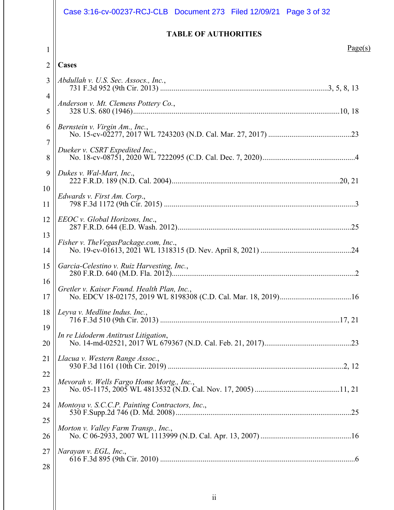|                | Case 3:16-cv-00237-RCJ-CLB  Document 273  Filed 12/09/21  Page 3 of 32 |  |  |  |  |
|----------------|------------------------------------------------------------------------|--|--|--|--|
|                | <b>TABLE OF AUTHORITIES</b>                                            |  |  |  |  |
| $\mathbf{1}$   | Page(s)                                                                |  |  |  |  |
| $\overline{2}$ | Cases                                                                  |  |  |  |  |
| 3              | Abdullah v. U.S. Sec. Assocs., Inc.,                                   |  |  |  |  |
| 4<br>5         | Anderson v. Mt. Clemens Pottery Co.,                                   |  |  |  |  |
| 6              | Bernstein v. Virgin Am., Inc.,                                         |  |  |  |  |
| 7<br>8         | Dueker v. CSRT Expedited Inc.,                                         |  |  |  |  |
| 9<br>10        | Dukes v. Wal-Mart, Inc.,                                               |  |  |  |  |
| 11             | Edwards v. First Am. Corp.,                                            |  |  |  |  |
| 12<br>13       | EEOC v. Global Horizons, Inc.,                                         |  |  |  |  |
| 14             | Fisher v. The Vegas Package.com, Inc.,                                 |  |  |  |  |
| 15             | Garcia-Celestino v. Ruiz Harvesting, Inc.,                             |  |  |  |  |
| 16<br>17       | Gretler v. Kaiser Found. Health Plan, Inc.,                            |  |  |  |  |
| 18<br>19       | Leyva v. Medline Indus. Inc.,                                          |  |  |  |  |
| 20             | In re Lidoderm Antitrust Litigation,                                   |  |  |  |  |
| 21<br>22       | Llacua v. Western Range Assoc.,                                        |  |  |  |  |
| 23             | Mevorah v. Wells Fargo Home Mortg., Inc.,                              |  |  |  |  |
| 24<br>25       | Montoya v. S.C.C.P. Painting Contractors, Inc.,                        |  |  |  |  |
| 26             | Morton v. Valley Farm Transp., Inc.,                                   |  |  |  |  |
| 27<br>28       | Narayan v. EGL, Inc.,                                                  |  |  |  |  |
|                |                                                                        |  |  |  |  |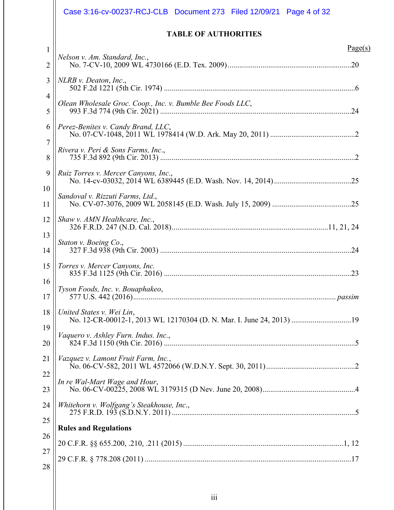|                     | Case 3:16-cv-00237-RCJ-CLB  Document 273  Filed 12/09/21  Page 4 of 32                            |
|---------------------|---------------------------------------------------------------------------------------------------|
|                     | <b>TABLE OF AUTHORITIES</b>                                                                       |
| $\mathbf{1}$<br>2   | Page(s)<br>Nelson v. Am. Standard, Inc.,                                                          |
| 3                   | NLRB v. Deaton, Inc.,                                                                             |
| $\overline{4}$<br>5 | Olean Wholesale Groc. Coop., Inc. v. Bumble Bee Foods LLC,                                        |
| 6                   | Perez-Benites v. Candy Brand, LLC,                                                                |
| 7<br>8              | Rivera v. Peri & Sons Farms, Inc.,                                                                |
| 9                   | Ruiz Torres v. Mercer Canyons, Inc.,                                                              |
| 10<br>11            | Sandoval v. Rizzuti Farms, Ltd.,                                                                  |
| 12                  | Shaw v. AMN Healthcare, Inc.,                                                                     |
| 13<br>14            | Staton v. Boeing Co.,                                                                             |
| 15                  | Torres v. Mercer Canyons, Inc.                                                                    |
| 16<br>17            | Tyson Foods, Inc. v. Bouaphakeo,                                                                  |
| 18                  | United States v. Wei Lin,<br>No. 12-CR-00012-1, 2013 WL 12170304 (D. N. Mar. I. June 24, 2013) 19 |
| 19<br>20            | Vaquero v. Ashley Furn. Indus. Inc.,                                                              |
| 21                  | Vazquez v. Lamont Fruit Farm, Inc.,                                                               |
| 22<br>23            | In re Wal-Mart Wage and Hour,                                                                     |
| 24                  | Whitehorn v. Wolfgang's Steakhouse, Inc.,                                                         |
| 25<br>26            | <b>Rules and Regulations</b>                                                                      |
| 27                  |                                                                                                   |
| 28                  |                                                                                                   |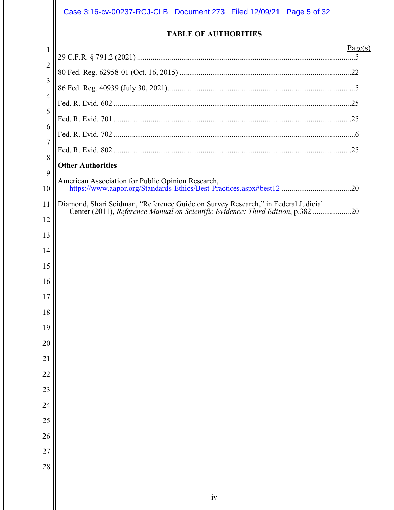# Case 3:16-cv-00237-RCJ-CLB Document 273 Filed 12/09/21 Page 5 of 32

### **TABLE OF AUTHORITIES**

| $\mathbf{1}$   | Page(s)                                                                                                                                                              |
|----------------|----------------------------------------------------------------------------------------------------------------------------------------------------------------------|
| $\overline{2}$ |                                                                                                                                                                      |
|                |                                                                                                                                                                      |
| 3              |                                                                                                                                                                      |
| $\overline{4}$ |                                                                                                                                                                      |
| 5              |                                                                                                                                                                      |
| 6              |                                                                                                                                                                      |
| $\overline{7}$ |                                                                                                                                                                      |
| 8              | <b>Other Authorities</b>                                                                                                                                             |
| 9              | American Association for Public Opinion Research,                                                                                                                    |
| 10             | https://www.aapor.org/Standards-Ethics/Best-Practices.aspx#best12_20                                                                                                 |
| 11             | Diamond, Shari Seidman, "Reference Guide on Survey Research," in Federal Judicial<br>Center (2011), Reference Manual on Scientific Evidence: Third Edition, p.382 20 |
| 12             |                                                                                                                                                                      |
| 13             |                                                                                                                                                                      |
| 14             |                                                                                                                                                                      |
| 15             |                                                                                                                                                                      |
| 16             |                                                                                                                                                                      |
| 17             |                                                                                                                                                                      |
| 18             |                                                                                                                                                                      |
| 19             |                                                                                                                                                                      |
| 20             |                                                                                                                                                                      |
| 21             |                                                                                                                                                                      |
| 22             |                                                                                                                                                                      |
| 23             |                                                                                                                                                                      |
| 24             |                                                                                                                                                                      |
| 25             |                                                                                                                                                                      |
| 26             |                                                                                                                                                                      |
| 27             |                                                                                                                                                                      |
| 28             |                                                                                                                                                                      |
|                |                                                                                                                                                                      |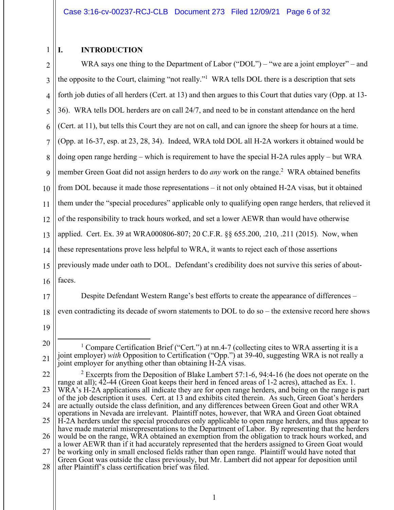#### 1 **I. INTRODUCTION**

2 3 4 5 6 7 8 9 10 11 12 13 14 15 16 WRA says one thing to the Department of Labor ("DOL") – "we are a joint employer" – and the opposite to the Court, claiming "not really."1 WRA tells DOL there is a description that sets forth job duties of all herders (Cert. at 13) and then argues to this Court that duties vary (Opp. at 13- 36). WRA tells DOL herders are on call 24/7, and need to be in constant attendance on the herd (Cert. at 11), but tells this Court they are not on call, and can ignore the sheep for hours at a time. (Opp. at 16-37, esp. at 23, 28, 34). Indeed, WRA told DOL all H-2A workers it obtained would be doing open range herding – which is requirement to have the special H-2A rules apply – but WRA member Green Goat did not assign herders to do *any* work on the range.<sup>2</sup> WRA obtained benefits from DOL because it made those representations – it not only obtained H-2A visas, but it obtained them under the "special procedures" applicable only to qualifying open range herders, that relieved it of the responsibility to track hours worked, and set a lower AEWR than would have otherwise applied. Cert. Ex. 39 at WRA000806-807; 20 C.F.R. §§ 655.200, .210, .211 (2015). Now, when these representations prove less helpful to WRA, it wants to reject each of those assertions previously made under oath to DOL. Defendant's credibility does not survive this series of aboutfaces.

17

Despite Defendant Western Range's best efforts to create the appearance of differences –

18 even contradicting its decade of sworn statements to DOL to do so – the extensive record here shows

<sup>20</sup> 21 <sup>1</sup> Compare Certification Brief ("Cert.") at nn.4-7 (collecting cites to WRA asserting it is a joint employer) *with* Opposition to Certification ("Opp.") at 39-40, suggesting WRA is not really a joint employer for anything other than obtaining H-2A visas.

<sup>22</sup> 23 24 25 26 27 <sup>2</sup> Excerpts from the Deposition of Blake Lambert 57:1-6, 94:4-16 (he does not operate on the range at all); 42-44 (Green Goat keeps their herd in fenced areas of 1-2 acres), attached as Ex. 1. WRA's H-2A applications all indicate they are for open range herders, and being on the range is part of the job description it uses. Cert. at 13 and exhibits cited therein. As such, Green Goat's herders are actually outside the class definition, and any differences between Green Goat and other WRA operations in Nevada are irrelevant. Plaintiff notes, however, that WRA and Green Goat obtained H-2A herders under the special procedures only applicable to open range herders, and thus appear to have made material misrepresentations to the Department of Labor. By representing that the herders would be on the range, WRA obtained an exemption from the obligation to track hours worked, and a lower AEWR than if it had accurately represented that the herders assigned to Green Goat would be working only in small enclosed fields rather than open range. Plaintiff would have noted that Green Goat was outside the class previously, but Mr. Lambert did not appear for deposition until

<sup>28</sup> after Plaintiff's class certification brief was filed.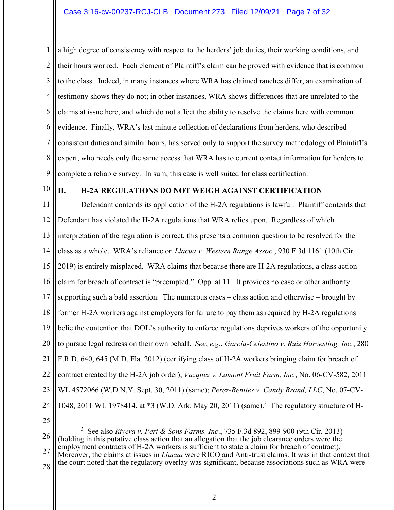1 2 3 4 5 6 7 8 9 a high degree of consistency with respect to the herders' job duties, their working conditions, and their hours worked. Each element of Plaintiff's claim can be proved with evidence that is common to the class. Indeed, in many instances where WRA has claimed ranches differ, an examination of testimony shows they do not; in other instances, WRA shows differences that are unrelated to the claims at issue here, and which do not affect the ability to resolve the claims here with common evidence. Finally, WRA's last minute collection of declarations from herders, who described consistent duties and similar hours, has served only to support the survey methodology of Plaintiff's expert, who needs only the same access that WRA has to current contact information for herders to complete a reliable survey. In sum, this case is well suited for class certification.

10

### **II. H-2A REGULATIONS DO NOT WEIGH AGAINST CERTIFICATION**

11 12 13 14 15 16 17 18 19 20 21 22 23 24 Defendant contends its application of the H-2A regulations is lawful. Plaintiff contends that Defendant has violated the H-2A regulations that WRA relies upon. Regardless of which interpretation of the regulation is correct, this presents a common question to be resolved for the class as a whole. WRA's reliance on *Llacua v. Western Range Assoc.*, 930 F.3d 1161 (10th Cir. 2019) is entirely misplaced. WRA claims that because there are H-2A regulations, a class action claim for breach of contract is "preempted." Opp. at 11. It provides no case or other authority supporting such a bald assertion. The numerous cases – class action and otherwise – brought by former H-2A workers against employers for failure to pay them as required by H-2A regulations belie the contention that DOL's authority to enforce regulations deprives workers of the opportunity to pursue legal redress on their own behalf. *See*, *e.g.*, *Garcia-Celestino v. Ruiz Harvesting, Inc.*, 280 F.R.D. 640, 645 (M.D. Fla. 2012) (certifying class of H-2A workers bringing claim for breach of contract created by the H-2A job order); *Vazquez v. Lamont Fruit Farm, Inc.*, No. 06-CV-582, 2011 WL 4572066 (W.D.N.Y. Sept. 30, 2011) (same); *Perez-Benites v. Candy Brand, LLC*, No. 07-CV-1048, 2011 WL 1978414, at \*3 (W.D. Ark. May 20, 2011) (same).<sup>3</sup> The regulatory structure of H-

25

26 3 See also *Rivera v. Peri & Sons Farms, Inc*., 735 F.3d 892, 899-900 (9th Cir. 2013) (holding in this putative class action that an allegation that the job clearance orders were the employment contracts of H-2A workers is sufficient to state a claim for breach of contract).

27 28 Moreover, the claims at issues in *Llacua* were RICO and Anti-trust claims. It was in that context that the court noted that the regulatory overlay was significant, because associations such as WRA were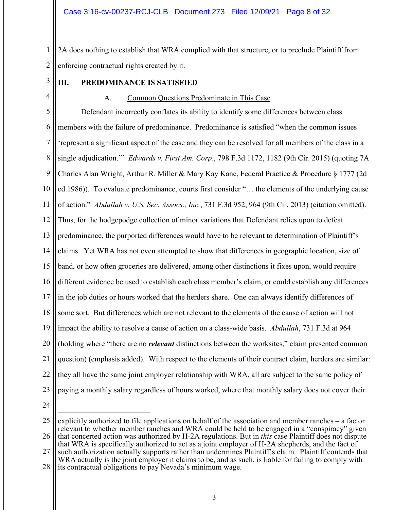1 2 2A does nothing to establish that WRA complied with that structure, or to preclude Plaintiff from enforcing contractual rights created by it.

3

4

### **III. PREDOMINANCE IS SATISFIED**

### A. Common Questions Predominate in This Case

5 6 7 8 9 10 11 12 13 14 15 16 17 18 19 20 21 22 23 Defendant incorrectly conflates its ability to identify some differences between class members with the failure of predominance. Predominance is satisfied "when the common issues 'represent a significant aspect of the case and they can be resolved for all members of the class in a single adjudication.'" *Edwards v. First Am. Corp*., 798 F.3d 1172, 1182 (9th Cir. 2015) (quoting 7A Charles Alan Wright, Arthur R. Miller & Mary Kay Kane, Federal Practice & Procedure § 1777 (2d ed.1986)). To evaluate predominance, courts first consider "… the elements of the underlying cause of action." *Abdullah v. U.S. Sec. Assocs., Inc.*, 731 F.3d 952, 964 (9th Cir. 2013) (citation omitted). Thus, for the hodgepodge collection of minor variations that Defendant relies upon to defeat predominance, the purported differences would have to be relevant to determination of Plaintiff's claims. Yet WRA has not even attempted to show that differences in geographic location, size of band, or how often groceries are delivered, among other distinctions it fixes upon, would require different evidence be used to establish each class member's claim, or could establish any differences in the job duties or hours worked that the herders share. One can always identify differences of some sort. But differences which are not relevant to the elements of the cause of action will not impact the ability to resolve a cause of action on a class-wide basis. *Abdullah*, 731 F.3d at 964 (holding where "there are no *relevant* distinctions between the worksites," claim presented common question) (emphasis added). With respect to the elements of their contract claim, herders are similar: they all have the same joint employer relationship with WRA, all are subject to the same policy of paying a monthly salary regardless of hours worked, where that monthly salary does not cover their

<sup>25</sup> 26 explicitly authorized to file applications on behalf of the association and member ranches – a factor relevant to whether member ranches and WRA could be held to be engaged in a "conspiracy" given that concerted action was authorized by H-2A regulations. But in *this* case Plaintiff does not dispute

<sup>27</sup> that WRA is specifically authorized to act as a joint employer of H-2A shepherds, and the fact of such authorization actually supports rather than undermines Plaintiff's claim. Plaintiff contends that WRA actually is the joint employer it claims to be, and as such, is liable for failing to comply with

<sup>28</sup> its contractual obligations to pay Nevada's minimum wage.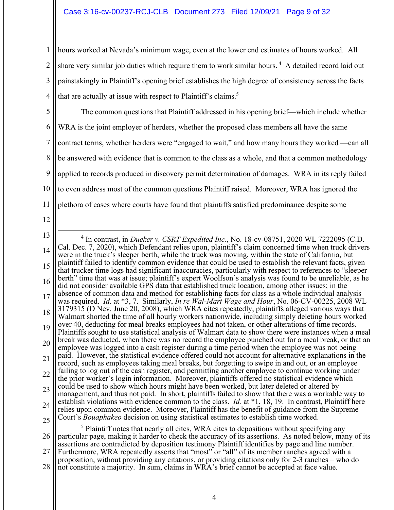1 2 3 4 hours worked at Nevada's minimum wage, even at the lower end estimates of hours worked. All share very similar job duties which require them to work similar hours.<sup>4</sup> A detailed record laid out painstakingly in Plaintiff's opening brief establishes the high degree of consistency across the facts that are actually at issue with respect to Plaintiff's claims.<sup>5</sup>

5

6 7 8 9 10 11 The common questions that Plaintiff addressed in his opening brief—which include whether WRA is the joint employer of herders, whether the proposed class members all have the same contract terms, whether herders were "engaged to wait," and how many hours they worked —can all be answered with evidence that is common to the class as a whole, and that a common methodology applied to records produced in discovery permit determination of damages. WRA in its reply failed to even address most of the common questions Plaintiff raised. Moreover, WRA has ignored the plethora of cases where courts have found that plaintiffs satisfied predominance despite some

<sup>13</sup> 14 15 16 17 18 19 20 21 22 23 24 25 4 In contrast, in *Dueker v. CSRT Expedited Inc.*, No. 18-cv-08751, 2020 WL 7222095 (C.D. Cal. Dec. 7, 2020), which Defendant relies upon, plaintiff's claim concerned time when truck drivers were in the truck's sleeper berth, while the truck was moving, within the state of California, but plaintiff failed to identify common evidence that could be used to establish the relevant facts, given that trucker time logs had significant inaccuracies, particularly with respect to references to "sleeper berth" time that was at issue; plaintiff's expert Woolfson's analysis was found to be unreliable, as he did not consider available GPS data that established truck location, among other issues; in the absence of common data and method for establishing facts for class as a whole individual analysis was required. *Id.* at \*3, 7. Similarly, *In re Wal-Mart Wage and Hour*, No. 06-CV-00225, 2008 WL 3179315 (D Nev. June 20, 2008), which WRA cites repeatedly, plaintiffs alleged various ways that Walmart shorted the time of all hourly workers nationwide, including simply deleting hours worked over 40, deducting for meal breaks employees had not taken, or other alterations of time records. Plaintiffs sought to use statistical analysis of Walmart data to show there were instances when a meal break was deducted, when there was no record the employee punched out for a meal break, or that an employee was logged into a cash register during a time period when the employee was not being paid. However, the statistical evidence offered could not account for alternative explanations in the record, such as employees taking meal breaks, but forgetting to swipe in and out, or an employee failing to log out of the cash register, and permitting another employee to continue working under the prior worker's login information. Moreover, plaintiffs offered no statistical evidence which could be used to show which hours might have been worked, but later deleted or altered by management, and thus not paid. In short, plaintiffs failed to show that there was a workable way to establish violations with evidence common to the class. *Id.* at \*1, 18, 19. In contrast, Plaintiff here relies upon common evidence. Moreover, Plaintiff has the benefit of guidance from the Supreme Court's *Bouaphakeo* decision on using statistical estimates to establish time worked. <sup>5</sup> Plaintiff notes that nearly all cites, WRA cites to depositions without specifying any

<sup>26</sup> 27 28 particular page, making it harder to check the accuracy of its assertions. As noted below, many of its assertions are contradicted by deposition testimony Plaintiff identifies by page and line number. Furthermore, WRA repeatedly asserts that "most" or "all" of its member ranches agreed with a proposition, without providing any citations, or providing citations only for 2-3 ranches – who do not constitute a majority. In sum, claims in WRA's brief cannot be accepted at face value.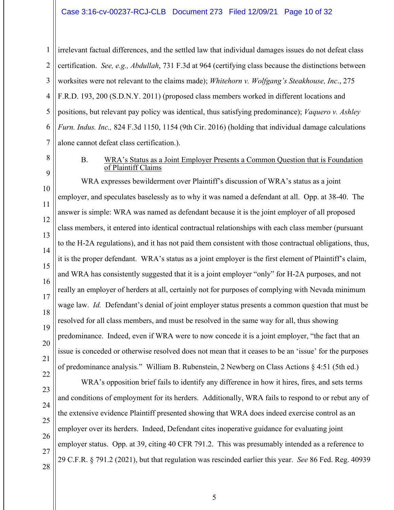### Case 3:16-cv-00237-RCJ-CLB Document 273 Filed 12/09/21 Page 10 of 32

1 2 3 4 5 6 7 irrelevant factual differences, and the settled law that individual damages issues do not defeat class certification. *See, e.g., Abdullah*, 731 F.3d at 964 (certifying class because the distinctions between worksites were not relevant to the claims made); *Whitehorn v. Wolfgang's Steakhouse, Inc*., 275 F.R.D. 193, 200 (S.D.N.Y. 2011) (proposed class members worked in different locations and positions, but relevant pay policy was identical, thus satisfying predominance); *Vaquero v. Ashley Furn. Indus. Inc.,* 824 F.3d 1150, 1154 (9th Cir. 2016) (holding that individual damage calculations alone cannot defeat class certification.).

### 8

9

### B. WRA's Status as a Joint Employer Presents a Common Question that is Foundation of Plaintiff Claims

10 11 12 13 14 15 16 17 18 19 20 21 22 WRA expresses bewilderment over Plaintiff's discussion of WRA's status as a joint employer, and speculates baselessly as to why it was named a defendant at all. Opp. at 38-40. The answer is simple: WRA was named as defendant because it is the joint employer of all proposed class members, it entered into identical contractual relationships with each class member (pursuant to the H-2A regulations), and it has not paid them consistent with those contractual obligations, thus, it is the proper defendant. WRA's status as a joint employer is the first element of Plaintiff's claim, and WRA has consistently suggested that it is a joint employer "only" for H-2A purposes, and not really an employer of herders at all, certainly not for purposes of complying with Nevada minimum wage law. *Id.* Defendant's denial of joint employer status presents a common question that must be resolved for all class members, and must be resolved in the same way for all, thus showing predominance. Indeed, even if WRA were to now concede it is a joint employer, "the fact that an issue is conceded or otherwise resolved does not mean that it ceases to be an 'issue' for the purposes of predominance analysis." William B. Rubenstein, 2 Newberg on Class Actions § 4:51 (5th ed.)

28

WRA's opposition brief fails to identify any difference in how it hires, fires, and sets terms and conditions of employment for its herders. Additionally, WRA fails to respond to or rebut any of the extensive evidence Plaintiff presented showing that WRA does indeed exercise control as an employer over its herders. Indeed, Defendant cites inoperative guidance for evaluating joint employer status. Opp. at 39, citing 40 CFR 791.2. This was presumably intended as a reference to 29 C.F.R. § 791.2 (2021), but that regulation was rescinded earlier this year. *See* 86 Fed. Reg. 40939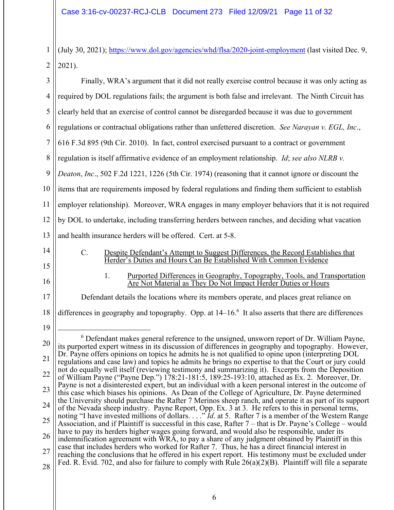1 (July 30, 2021); https://www.dol.gov/agencies/whd/flsa/2020-joint-employment (last visited Dec. 9,  $2$  || 2021).

| $\overline{3}$ | Finally, WRA's argument that it did not really exercise control because it was only acting as                                                                                                                       |
|----------------|---------------------------------------------------------------------------------------------------------------------------------------------------------------------------------------------------------------------|
| $\overline{4}$ | required by DOL regulations fails; the argument is both false and irrelevant. The Ninth Circuit has                                                                                                                 |
| 5              | clearly held that an exercise of control cannot be disregarded because it was due to government                                                                                                                     |
| 6              | regulations or contractual obligations rather than unfettered discretion. See Narayan v. EGL, Inc.,                                                                                                                 |
| 7              | 616 F.3d 895 (9th Cir. 2010). In fact, control exercised pursuant to a contract or government                                                                                                                       |
| 8              | regulation is itself affirmative evidence of an employment relationship. Id; see also NLRB v.                                                                                                                       |
| 9              | Deaton, Inc., 502 F.2d 1221, 1226 (5th Cir. 1974) (reasoning that it cannot ignore or discount the                                                                                                                  |
| 10             | items that are requirements imposed by federal regulations and finding them sufficient to establish                                                                                                                 |
| 11             | employer relationship). Moreover, WRA engages in many employer behaviors that it is not required                                                                                                                    |
| 12             | by DOL to undertake, including transferring herders between ranches, and deciding what vacation                                                                                                                     |
| 13             | and health insurance herders will be offered. Cert. at 5-8.                                                                                                                                                         |
| 14<br>15       | $C_{\cdot}$<br>Despite Defendant's Attempt to Suggest Differences, the Record Establishes that<br>Herder's Duties and Hours Can Be Established With Common Evidence                                                 |
| 16             | Purported Differences in Geography, Topography, Tools, and Transportation<br>1.<br>Are Not Material as They Do Not Impact Herder Duties or Hours                                                                    |
| 17             | Defendant details the locations where its members operate, and places great reliance on                                                                                                                             |
| 18             | differences in geography and topography. Opp. at 14-16. <sup>6</sup> It also asserts that there are differences                                                                                                     |
| 19             |                                                                                                                                                                                                                     |
| 20             | $6$ Defendant makes general reference to the unsigned, unsworn report of Dr. William Payne,<br>its purported expert witness in its discussion of differences in geography and topography. However,                  |
| 21             | Dr. Payne offers opinions on topics he admits he is not qualified to opine upon (interpreting DOL<br>regulations and case law) and topics he admits he brings no expertise to that the Court or jury could          |
| 22             | not do equally well itself (reviewing testimony and summarizing it). Excerpts from the Deposition<br>of William Payne ("Payne Dep.") 178:21-181:5, 189:25-193:10, attached as Ex. 2. Moreover, Dr.                  |
| 23             | Payne is not a disinterested expert, but an individual with a keen personal interest in the outcome of<br>this case which biases his opinions. As Dean of the College of Agriculture, Dr. Payne determined          |
| 24             | the University should purchase the Rafter 7 Merinos sheep ranch, and operate it as part of its support<br>of the Nevada sheep industry. Payne Report, Opp. Ex. 3 at 3. He refers to this in personal terms,         |
| 25             | noting "I have invested millions of dollars" <i>Id.</i> at 5. Rafter 7 is a member of the Western Range<br>Association, and if Plaintiff is successful in this case, Rafter 7 – that is Dr. Payne's College – would |
| 26             | have to pay its herders higher wages going forward, and would also be responsible, under its<br>indemnification agreement with WRA, to pay a share of any judgment obtained by Plaintiff in this                    |
| 27             | case that includes herders who worked for Rafter 7. Thus, he has a direct financial interest in<br>reaching the conclusions that he offered in his expert report. His testimony must be excluded under              |
| 28             | Fed. R. Evid. 702, and also for failure to comply with Rule $26(a)(2)(B)$ . Plaintiff will file a separate                                                                                                          |
|                |                                                                                                                                                                                                                     |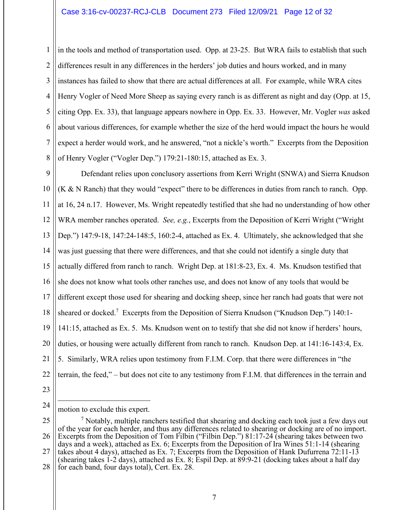### Case 3:16-cv-00237-RCJ-CLB Document 273 Filed 12/09/21 Page 12 of 32

1 2 3 4 5 6 7 8 in the tools and method of transportation used. Opp. at 23-25. But WRA fails to establish that such differences result in any differences in the herders' job duties and hours worked, and in many instances has failed to show that there are actual differences at all. For example, while WRA cites Henry Vogler of Need More Sheep as saying every ranch is as different as night and day (Opp. at 15, citing Opp. Ex. 33), that language appears nowhere in Opp. Ex. 33. However, Mr. Vogler *was* asked about various differences, for example whether the size of the herd would impact the hours he would expect a herder would work, and he answered, "not a nickle's worth." Excerpts from the Deposition of Henry Vogler ("Vogler Dep.") 179:21-180:15, attached as Ex. 3.

9 10 11 12 13 14 15 16 17 18 19 20 21 22 Defendant relies upon conclusory assertions from Kerri Wright (SNWA) and Sierra Knudson  $(K & N$  Ranch) that they would "expect" there to be differences in duties from ranch to ranch. Opp. at 16, 24 n.17. However, Ms. Wright repeatedly testified that she had no understanding of how other WRA member ranches operated. *See, e.g.*, Excerpts from the Deposition of Kerri Wright ("Wright Dep.") 147:9-18, 147:24-148:5, 160:2-4, attached as Ex. 4. Ultimately, she acknowledged that she was just guessing that there were differences, and that she could not identify a single duty that actually differed from ranch to ranch. Wright Dep. at 181:8-23, Ex. 4. Ms. Knudson testified that she does not know what tools other ranches use, and does not know of any tools that would be different except those used for shearing and docking sheep, since her ranch had goats that were not sheared or docked.<sup>7</sup> Excerpts from the Deposition of Sierra Knudson ("Knudson Dep.") 140:1-141:15, attached as Ex. 5. Ms. Knudson went on to testify that she did not know if herders' hours, duties, or housing were actually different from ranch to ranch. Knudson Dep. at 141:16-143:4, Ex. 5. Similarly, WRA relies upon testimony from F.I.M. Corp. that there were differences in "the terrain, the feed," – but does not cite to any testimony from F.I.M. that differences in the terrain and

23

24 motion to exclude this expert.

<sup>25</sup> 26 27 28  $<sup>7</sup>$  Notably, multiple ranchers testified that shearing and docking each took just a few days out</sup> of the year for each herder, and thus any differences related to shearing or docking are of no import. Excerpts from the Deposition of Tom Filbin ("Filbin Dep.") 81:17-24 (shearing takes between two days and a week), attached as Ex. 6; Excerpts from the Deposition of Ira Wines 51:1-14 (shearing takes about 4 days), attached as Ex. 7; Excerpts from the Deposition of Hank Dufurrena  $\dot{7}2:11-1\bar{3}$ (shearing takes 1-2 days), attached as Ex. 8; Espil Dep. at 89:9-21 (docking takes about a half day for each band, four days total), Cert. Ex. 28.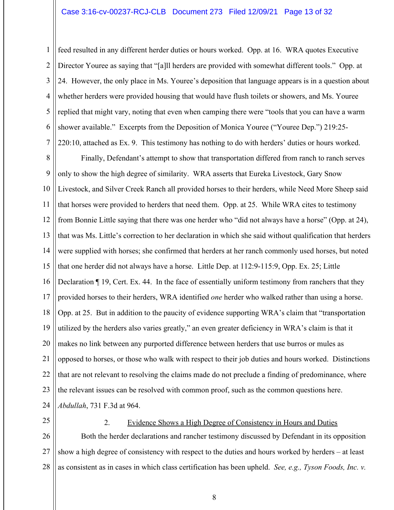1 2 3 4 5 6 7 feed resulted in any different herder duties or hours worked. Opp. at 16. WRA quotes Executive Director Youree as saying that "[a]ll herders are provided with somewhat different tools." Opp. at 24. However, the only place in Ms. Youree's deposition that language appears is in a question about whether herders were provided housing that would have flush toilets or showers, and Ms. Youree replied that might vary, noting that even when camping there were "tools that you can have a warm shower available." Excerpts from the Deposition of Monica Youree ("Youree Dep.") 219:25- 220:10, attached as Ex. 9. This testimony has nothing to do with herders' duties or hours worked.

8 9 10 11 12 13 14 15 16 17 18 19 20 21 22 23 24 Finally, Defendant's attempt to show that transportation differed from ranch to ranch serves only to show the high degree of similarity. WRA asserts that Eureka Livestock, Gary Snow Livestock, and Silver Creek Ranch all provided horses to their herders, while Need More Sheep said that horses were provided to herders that need them. Opp. at 25. While WRA cites to testimony from Bonnie Little saying that there was one herder who "did not always have a horse" (Opp. at 24), that was Ms. Little's correction to her declaration in which she said without qualification that herders were supplied with horses; she confirmed that herders at her ranch commonly used horses, but noted that one herder did not always have a horse. Little Dep. at 112:9-115:9, Opp. Ex. 25; Little Declaration ¶ 19, Cert. Ex. 44. In the face of essentially uniform testimony from ranchers that they provided horses to their herders, WRA identified *one* herder who walked rather than using a horse. Opp. at 25. But in addition to the paucity of evidence supporting WRA's claim that "transportation utilized by the herders also varies greatly," an even greater deficiency in WRA's claim is that it makes no link between any purported difference between herders that use burros or mules as opposed to horses, or those who walk with respect to their job duties and hours worked. Distinctions that are not relevant to resolving the claims made do not preclude a finding of predominance, where the relevant issues can be resolved with common proof, such as the common questions here. *Abdullah*, 731 F.3d at 964.

25

2. Evidence Shows a High Degree of Consistency in Hours and Duties

26 27 28 Both the herder declarations and rancher testimony discussed by Defendant in its opposition show a high degree of consistency with respect to the duties and hours worked by herders – at least as consistent as in cases in which class certification has been upheld. *See, e.g., Tyson Foods, Inc. v.*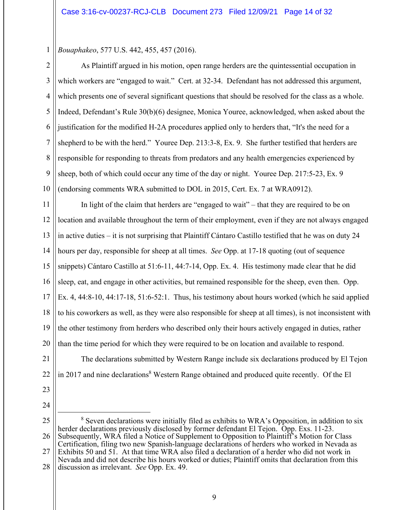*Bouaphakeo*, 577 U.S. 442, 455, 457 (2016).

2 3 4 5 6 7 8 9 10 As Plaintiff argued in his motion, open range herders are the quintessential occupation in which workers are "engaged to wait." Cert. at 32-34. Defendant has not addressed this argument, which presents one of several significant questions that should be resolved for the class as a whole. Indeed, Defendant's Rule 30(b)(6) designee, Monica Youree, acknowledged, when asked about the justification for the modified H-2A procedures applied only to herders that, "It's the need for a shepherd to be with the herd." Youree Dep. 213:3-8, Ex. 9. She further testified that herders are responsible for responding to threats from predators and any health emergencies experienced by sheep, both of which could occur any time of the day or night. Youree Dep. 217:5-23, Ex. 9 (endorsing comments WRA submitted to DOL in 2015, Cert. Ex. 7 at WRA0912).

11 12 13 14 15 16 17 18 19 20 In light of the claim that herders are "engaged to wait" – that they are required to be on location and available throughout the term of their employment, even if they are not always engaged in active duties – it is not surprising that Plaintiff Cántaro Castillo testified that he was on duty 24 hours per day, responsible for sheep at all times. *See* Opp. at 17-18 quoting (out of sequence snippets) Cántaro Castillo at 51:6-11, 44:7-14, Opp. Ex. 4. His testimony made clear that he did sleep, eat, and engage in other activities, but remained responsible for the sheep, even then. Opp. Ex. 4, 44:8-10, 44:17-18, 51:6-52:1. Thus, his testimony about hours worked (which he said applied to his coworkers as well, as they were also responsible for sheep at all times), is not inconsistent with the other testimony from herders who described only their hours actively engaged in duties, rather than the time period for which they were required to be on location and available to respond.

21 22 The declarations submitted by Western Range include six declarations produced by El Tejon in 2017 and nine declarations<sup>8</sup> Western Range obtained and produced quite recently. Of the El

23

1

<sup>25</sup> 26 27 28 <sup>8</sup> Seven declarations were initially filed as exhibits to WRA's Opposition, in addition to six herder declarations previously disclosed by former defendant El Tejon. Opp. Exs. 11-23. Subsequently, WRA filed a Notice of Supplement to Opposition to Plaintiff's Motion for Class Certification, filing two new Spanish-language declarations of herders who worked in Nevada as Exhibits 50 and 51. At that time WRA also filed a declaration of a herder who did not work in Nevada and did not describe his hours worked or duties; Plaintiff omits that declaration from this discussion as irrelevant. *See* Opp. Ex. 49.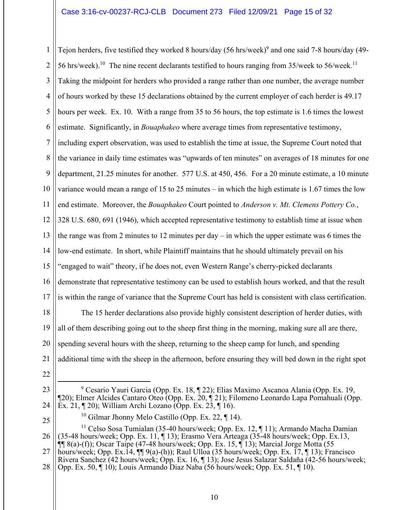### Case 3:16-cv-00237-RCJ-CLB Document 273 Filed 12/09/21 Page 15 of 32

1 2 3 4 5 6 7 8 9 10 11 12 13 14 15 16 17 18 Tejon herders, five testified they worked 8 hours/day  $(56 \text{ hrs/week})^9$  and one said 7-8 hours/day (49-56 hrs/week).<sup>10</sup> The nine recent declarants testified to hours ranging from 35/week to 56/week.<sup>11</sup> Taking the midpoint for herders who provided a range rather than one number, the average number of hours worked by these 15 declarations obtained by the current employer of each herder is 49.17 hours per week. Ex. 10. With a range from 35 to 56 hours, the top estimate is 1.6 times the lowest estimate. Significantly, in *Bouaphakeo* where average times from representative testimony, including expert observation, was used to establish the time at issue, the Supreme Court noted that the variance in daily time estimates was "upwards of ten minutes" on averages of 18 minutes for one department, 21.25 minutes for another. 577 U.S. at 450, 456. For a 20 minute estimate, a 10 minute variance would mean a range of 15 to 25 minutes – in which the high estimate is 1.67 times the low end estimate. Moreover, the *Bouaphakeo* Court pointed to *Anderson v. Mt. Clemens Pottery Co.*, 328 U.S. 680, 691 (1946), which accepted representative testimony to establish time at issue when the range was from 2 minutes to 12 minutes per day – in which the upper estimate was 6 times the low-end estimate. In short, while Plaintiff maintains that he should ultimately prevail on his "engaged to wait" theory, if he does not, even Western Range's cherry-picked declarants demonstrate that representative testimony can be used to establish hours worked, and that the result is within the range of variance that the Supreme Court has held is consistent with class certification. The 15 herder declarations also provide highly consistent description of herder duties, with

19 20 21 all of them describing going out to the sheep first thing in the morning, making sure all are there, spending several hours with the sheep, returning to the sheep camp for lunch, and spending additional time with the sheep in the afternoon, before ensuring they will bed down in the right spot

- 22
- 23 24 <sup>9</sup> Cesario Yauri Garcia (Opp. Ex. 18, ¶ 22); Elias Maximo Ascanoa Alania (Opp. Ex. 19,  $\P$ 20); Elmer Alcides Cantaro Oteo (Opp. Ex. 20,  $\P$  21); Filomeno Leonardo Lapa Pomahuali (Opp. Ex. 21, ¶ 20); William Archi Lozano (Opp. Ex. 23, ¶ 16).
- 25

<sup>&</sup>lt;sup>10</sup> Gilmar Jhonny Melo Castillo (Opp. Ex. 22,  $\P$  14).

<sup>26</sup> <sup>11</sup> Celso Sosa Tumialan (35-40 hours/week; Opp. Ex. 12,  $\P$  11); Armando Macha Damian (35-48 hours/week; Opp. Ex. 11, ¶ 13); Erasmo Vera Arteaga (35-48 hours/week; Opp. Ex.13,  $\P\P$  8(a)-(f)); Oscar Taipe (47-48 hours/week; Opp. Ex. 15,  $\P$  13); Marcial Jorge Motta (55

<sup>27</sup> hours/week; Opp. Ex.14,  $\P$  9(a)-(h)); Raul Ulloa (35 hours/week; Opp. Ex. 17, 13); Francisco Rivera Sanchez (42 hours/week; Opp. Ex. 16, ¶ 13); Jose Jesus Salazar Saldaña (42-56 hours/week;

<sup>28</sup> Opp. Ex. 50, ¶ 10); Louis Armando Diaz Naba (56 hours/week; Opp. Ex. 51, ¶ 10).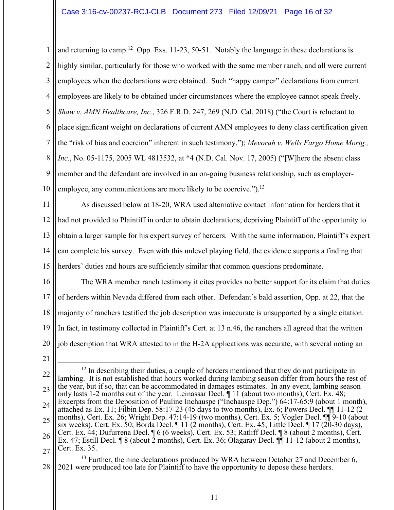1 2 3 4 5 6 7 8 9 10 and returning to camp.<sup>12</sup> Opp. Exs. 11-23, 50-51. Notably the language in these declarations is highly similar, particularly for those who worked with the same member ranch, and all were current employees when the declarations were obtained. Such "happy camper" declarations from current employees are likely to be obtained under circumstances where the employee cannot speak freely. *Shaw v. AMN Healthcare, Inc.*, 326 F.R.D. 247, 269 (N.D. Cal. 2018) ("the Court is reluctant to place significant weight on declarations of current AMN employees to deny class certification given the "risk of bias and coercion" inherent in such testimony."); *Mevorah v. Wells Fargo Home Mortg., Inc.*, No. 05-1175, 2005 WL 4813532, at \*4 (N.D. Cal. Nov. 17, 2005) ("[W]here the absent class member and the defendant are involved in an on-going business relationship, such as employeremployee, any communications are more likely to be coercive.").<sup>13</sup>

11 12 13 14 15 As discussed below at 18-20, WRA used alternative contact information for herders that it had not provided to Plaintiff in order to obtain declarations, depriving Plaintiff of the opportunity to obtain a larger sample for his expert survey of herders. With the same information, Plaintiff's expert can complete his survey. Even with this unlevel playing field, the evidence supports a finding that herders' duties and hours are sufficiently similar that common questions predominate.

16 17 18 19 20 The WRA member ranch testimony it cites provides no better support for its claim that duties of herders within Nevada differed from each other. Defendant's bald assertion, Opp. at 22, that the majority of ranchers testified the job description was inaccurate is unsupported by a single citation. In fact, in testimony collected in Plaintiff's Cert. at 13 n.46, the ranchers all agreed that the written job description that WRA attested to in the H-2A applications was accurate, with several noting an

21

#### 28  $13$  Further, the nine declarations produced by WRA between October 27 and December 6, 2021 were produced too late for Plaintiff to have the opportunity to depose these herders.

<sup>22</sup> 23 24 25 26 27  $12$  In describing their duties, a couple of herders mentioned that they do not participate in lambing. It is not established that hours worked during lambing season differ from hours the rest of the year, but if so, that can be accommodated in damages estimates. In any event, lambing season only lasts 1-2 months out of the year. Leinassar Decl. ¶ 11 (about two months), Cert. Ex. 48; Excerpts from the Deposition of Pauline Inchauspe ("Inchauspe Dep.") 64:17-65:9 (about 1 month), attached as Ex. 11; Filbin Dep. 58:17-23 (45 days to two months), Ex. 6; Powers Decl.  $\P$  11-12 (2) months), Cert. Ex. 26; Wright Dep. 47:14-19 (two months), Cert. Ex. 5; Vogler Decl. ¶¶ 9-10 (about six weeks), Cert. Ex. 50; Borda Decl.  $\P$  11 (2 months), Cert. Ex. 45; Little Decl.  $\P$  17 (20-30 days), Cert. Ex. 44; Dufurrena Decl. ¶ 6 (6 weeks), Cert. Ex. 53; Ratliff Decl. ¶ 8 (about 2 months), Cert. Ex. 47; Estill Decl. ¶ 8 (about 2 months), Cert. Ex. 36; Olagaray Decl. ¶¶ 11-12 (about 2 months), Cert. Ex. 35.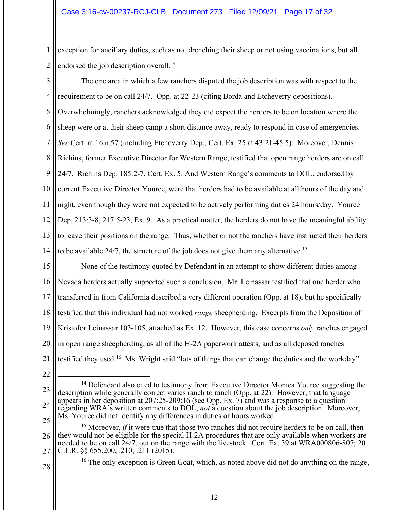1 2 exception for ancillary duties, such as not drenching their sheep or not using vaccinations, but all endorsed the job description overall.<sup>14</sup>

3 4 5 6 7 8 9 10 11 12 13 14 The one area in which a few ranchers disputed the job description was with respect to the requirement to be on call 24/7. Opp. at 22-23 (citing Borda and Etcheverry depositions). Overwhelmingly, ranchers acknowledged they did expect the herders to be on location where the sheep were or at their sheep camp a short distance away, ready to respond in case of emergencies. *See* Cert. at 16 n.57 (including Etcheverry Dep., Cert. Ex. 25 at 43:21-45:5). Moreover, Dennis Richins, former Executive Director for Western Range, testified that open range herders are on call 24/7. Richins Dep. 185:2-7, Cert. Ex. 5. And Western Range's comments to DOL, endorsed by current Executive Director Youree, were that herders had to be available at all hours of the day and night, even though they were not expected to be actively performing duties 24 hours/day. Youree Dep. 213:3-8, 217:5-23, Ex. 9. As a practical matter, the herders do not have the meaningful ability to leave their positions on the range. Thus, whether or not the ranchers have instructed their herders to be available 24/7, the structure of the job does not give them any alternative.<sup>15</sup>

15 16 17 18 19 20 21 None of the testimony quoted by Defendant in an attempt to show different duties among Nevada herders actually supported such a conclusion. Mr. Leinassar testified that one herder who transferred in from California described a very different operation (Opp. at 18), but he specifically testified that this individual had not worked *range* sheepherding. Excerpts from the Deposition of Kristofor Leinassar 103-105, attached as Ex. 12. However, this case concerns *only* ranches engaged in open range sheepherding, as all of the H-2A paperwork attests, and as all deposed ranches testified they used.<sup>16</sup> Ms. Wright said "lots of things that can change the duties and the workday"

22

<sup>23</sup> 24 25 <sup>14</sup> Defendant also cited to testimony from Executive Director Monica Youree suggesting the description while generally correct varies ranch to ranch (Opp. at 22). However, that language appears in her deposition at 207:25-209:16 (see Opp. Ex. 7) and was a response to a question regarding WRA's written comments to DOL, *not* a question about the job description. Moreover, Ms. Youree did not identify any differences in duties or hours worked.

<sup>26</sup> 27 <sup>15</sup> Moreover, *if* it were true that those two ranches did not require herders to be on call, then they would not be eligible for the special H-2A procedures that are only available when workers are needed to be on call 24/7, out on the range with the livestock. Cert. Ex. 39 at WRA000806-807; 20 C.F.R. §§ 655.200, .210, .211 (2015).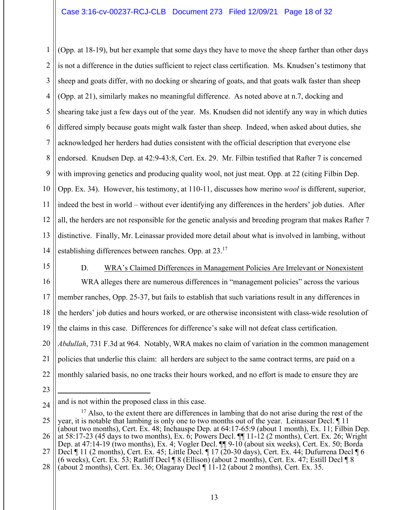1 2 3 4 5 6 7 8 9 10 11 12 13 14 (Opp. at 18-19), but her example that some days they have to move the sheep farther than other days is not a difference in the duties sufficient to reject class certification. Ms. Knudsen's testimony that sheep and goats differ, with no docking or shearing of goats, and that goats walk faster than sheep (Opp. at 21), similarly makes no meaningful difference. As noted above at n.7, docking and shearing take just a few days out of the year. Ms. Knudsen did not identify any way in which duties differed simply because goats might walk faster than sheep. Indeed, when asked about duties, she acknowledged her herders had duties consistent with the official description that everyone else endorsed. Knudsen Dep. at 42:9-43:8, Cert. Ex. 29. Mr. Filbin testified that Rafter 7 is concerned with improving genetics and producing quality wool, not just meat. Opp. at 22 (citing Filbin Dep. Opp. Ex. 34). However, his testimony, at 110-11, discusses how merino *wool* is different, superior, indeed the best in world – without ever identifying any differences in the herders' job duties. After all, the herders are not responsible for the genetic analysis and breeding program that makes Rafter 7 distinctive. Finally, Mr. Leinassar provided more detail about what is involved in lambing, without establishing differences between ranches. Opp. at 23.<sup>17</sup>

15

### D. WRA's Claimed Differences in Management Policies Are Irrelevant or Nonexistent

16 17 18 19 20 21 22 WRA alleges there are numerous differences in "management policies" across the various member ranches, Opp. 25-37, but fails to establish that such variations result in any differences in the herders' job duties and hours worked, or are otherwise inconsistent with class-wide resolution of the claims in this case. Differences for difference's sake will not defeat class certification. *Abdullah*, 731 F.3d at 964. Notably, WRA makes no claim of variation in the common management policies that underlie this claim: all herders are subject to the same contract terms, are paid on a monthly salaried basis, no one tracks their hours worked, and no effort is made to ensure they are

<sup>24</sup> and is not within the proposed class in this case.

<sup>25</sup> 26  $17$  Also, to the extent there are differences in lambing that do not arise during the rest of the year, it is notable that lambing is only one to two months out of the year. Leinassar Decl. ¶ 11 (about two months), Cert. Ex. 48; Inchauspe Dep. at 64:17-65:9 (about 1 month), Ex. 11; Filbin Dep. at 58:17-23 (45 days to two months), Ex.  $\vec{6}$ ; Powers Decl.  $\P\P$  11-12 (2 months), Cert. Ex. 26; Wright Dep. at 47:14-19 (two months), Ex. 4; Vogler Decl. ¶¶ 9-10 (about six weeks), Cert. Ex. 50; Borda

<sup>27</sup> Decl ¶ 11 (2 months), Cert. Ex. 45; Little Decl. ¶ 17 (20-30 days), Cert. Ex. 44; Dufurrena Decl ¶ 6 (6 weeks), Cert. Ex. 53; Ratliff Decl ¶ 8 (Ellison) (about 2 months), Cert. Ex. 47; Estill Decl ¶ 8

<sup>28</sup> (about 2 months), Cert. Ex. 36; Olagaray Decl ¶ 11-12 (about 2 months), Cert. Ex. 35.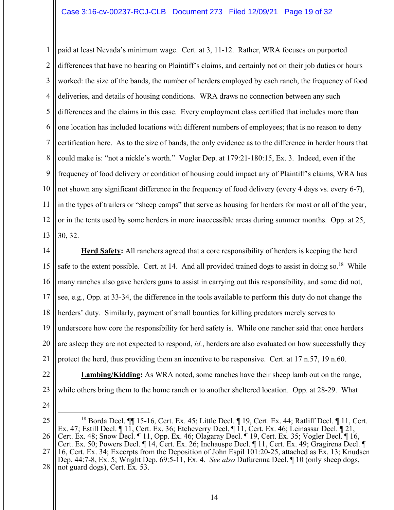1 2 3 4 5 6 7 8 9 10 11 12 13 paid at least Nevada's minimum wage. Cert. at 3, 11-12. Rather, WRA focuses on purported differences that have no bearing on Plaintiff's claims, and certainly not on their job duties or hours worked: the size of the bands, the number of herders employed by each ranch, the frequency of food deliveries, and details of housing conditions. WRA draws no connection between any such differences and the claims in this case. Every employment class certified that includes more than one location has included locations with different numbers of employees; that is no reason to deny certification here. As to the size of bands, the only evidence as to the difference in herder hours that could make is: "not a nickle's worth." Vogler Dep. at 179:21-180:15, Ex. 3. Indeed, even if the frequency of food delivery or condition of housing could impact any of Plaintiff's claims, WRA has not shown any significant difference in the frequency of food delivery (every 4 days vs. every 6-7), in the types of trailers or "sheep camps" that serve as housing for herders for most or all of the year, or in the tents used by some herders in more inaccessible areas during summer months. Opp. at 25, 30, 32.

14 15 16 17 18 19 20 21 22 **Herd Safety:** All ranchers agreed that a core responsibility of herders is keeping the herd safe to the extent possible. Cert. at 14. And all provided trained dogs to assist in doing so.<sup>18</sup> While many ranches also gave herders guns to assist in carrying out this responsibility, and some did not, see, e.g., Opp. at 33-34, the difference in the tools available to perform this duty do not change the herders' duty. Similarly, payment of small bounties for killing predators merely serves to underscore how core the responsibility for herd safety is. While one rancher said that once herders are asleep they are not expected to respond, *id.*, herders are also evaluated on how successfully they protect the herd, thus providing them an incentive to be responsive. Cert. at 17 n.57, 19 n.60. **Lambing/Kidding:** As WRA noted, some ranches have their sheep lamb out on the range,

- 23
- 

while others bring them to the home ranch or to another sheltered location. Opp. at 28-29. What

<sup>24</sup>

<sup>25</sup> 26 27 28 <sup>18</sup> Borda Decl. **[14]** 15-16, Cert. Ex. 45; Little Decl. **[19]**, Cert. Ex. 44; Ratliff Decl. **[11**], Cert. Ex. 47; Estill Decl. ¶ 11, Cert. Ex. 36; Etcheverry Decl. ¶ 11, Cert. Ex. 46; Leinassar Decl. ¶ 21, Cert. Ex. 48; Snow Decl. ¶ 11, Opp. Ex. 46; Olagaray Decl. ¶ 19, Cert. Ex. 35; Vogler Decl. ¶ 16, Cert. Ex. 50; Powers Decl. ¶ 14, Cert. Ex. 26; Inchauspe Decl. ¶ 11, Cert. Ex. 49; Gragirena Decl. ¶ 16, Cert. Ex. 34; Excerpts from the Deposition of John Espil 101:20-25, attached as Ex. 13; Knudsen Dep. 44:7-8, Ex. 5; Wright Dep. 69:5-11, Ex. 4. *See also* Dufurenna Decl. ¶ 10 (only sheep dogs, not guard dogs), Cert. Ex. 53.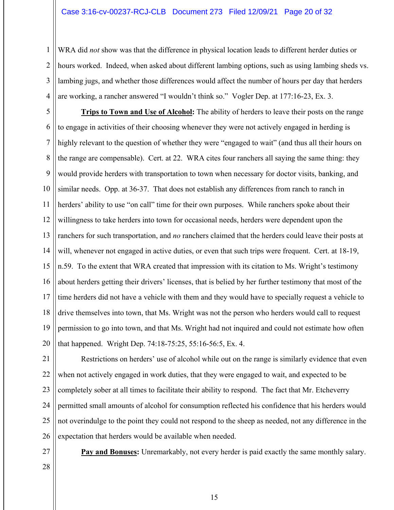1 2 3 4 WRA did *not* show was that the difference in physical location leads to different herder duties or hours worked. Indeed, when asked about different lambing options, such as using lambing sheds vs. lambing jugs, and whether those differences would affect the number of hours per day that herders are working, a rancher answered "I wouldn't think so." Vogler Dep. at 177:16-23, Ex. 3.

5 6 7 8 9 10 11 12 13 14 15 16 17 18 19 20 **Trips to Town and Use of Alcohol:** The ability of herders to leave their posts on the range to engage in activities of their choosing whenever they were not actively engaged in herding is highly relevant to the question of whether they were "engaged to wait" (and thus all their hours on the range are compensable). Cert. at 22. WRA cites four ranchers all saying the same thing: they would provide herders with transportation to town when necessary for doctor visits, banking, and similar needs. Opp. at 36-37. That does not establish any differences from ranch to ranch in herders' ability to use "on call" time for their own purposes. While ranchers spoke about their willingness to take herders into town for occasional needs, herders were dependent upon the ranchers for such transportation, and *no* ranchers claimed that the herders could leave their posts at will, whenever not engaged in active duties, or even that such trips were frequent. Cert. at 18-19, n.59. To the extent that WRA created that impression with its citation to Ms. Wright's testimony about herders getting their drivers' licenses, that is belied by her further testimony that most of the time herders did not have a vehicle with them and they would have to specially request a vehicle to drive themselves into town, that Ms. Wright was not the person who herders would call to request permission to go into town, and that Ms. Wright had not inquired and could not estimate how often that happened. Wright Dep. 74:18-75:25, 55:16-56:5, Ex. 4.

21 22 23 24 25 26 Restrictions on herders' use of alcohol while out on the range is similarly evidence that even when not actively engaged in work duties, that they were engaged to wait, and expected to be completely sober at all times to facilitate their ability to respond. The fact that Mr. Etcheverry permitted small amounts of alcohol for consumption reflected his confidence that his herders would not overindulge to the point they could not respond to the sheep as needed, not any difference in the expectation that herders would be available when needed.

27

**Pay and Bonuses:** Unremarkably, not every herder is paid exactly the same monthly salary.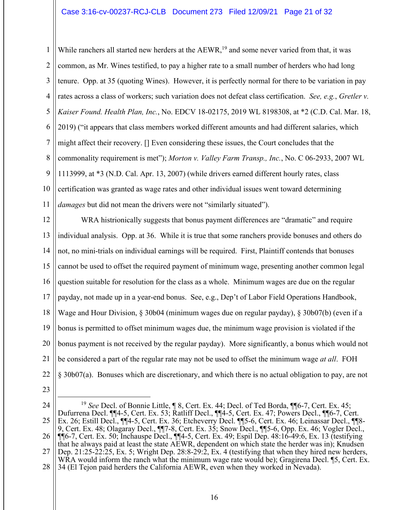### Case 3:16-cv-00237-RCJ-CLB Document 273 Filed 12/09/21 Page 21 of 32

1 2 3 4 5 6 7 8 9 10 11 While ranchers all started new herders at the AEWR,<sup>19</sup> and some never varied from that, it was common, as Mr. Wines testified, to pay a higher rate to a small number of herders who had long tenure. Opp. at 35 (quoting Wines). However, it is perfectly normal for there to be variation in pay rates across a class of workers; such variation does not defeat class certification. *See, e.g.*, *Gretler v. Kaiser Found. Health Plan, Inc.*, No. EDCV 18-02175, 2019 WL 8198308, at \*2 (C.D. Cal. Mar. 18, 2019) ("it appears that class members worked different amounts and had different salaries, which might affect their recovery. [] Even considering these issues, the Court concludes that the commonality requirement is met"); *Morton v. Valley Farm Transp., Inc.*, No. C 06-2933, 2007 WL 1113999, at \*3 (N.D. Cal. Apr. 13, 2007) (while drivers earned different hourly rates, class certification was granted as wage rates and other individual issues went toward determining *damages* but did not mean the drivers were not "similarly situated").

12 13 14 15 16 17 18 19 20 21 22 WRA histrionically suggests that bonus payment differences are "dramatic" and require individual analysis. Opp. at 36. While it is true that some ranchers provide bonuses and others do not, no mini-trials on individual earnings will be required. First, Plaintiff contends that bonuses cannot be used to offset the required payment of minimum wage, presenting another common legal question suitable for resolution for the class as a whole. Minimum wages are due on the regular payday, not made up in a year-end bonus. See, e.g., Dep't of Labor Field Operations Handbook, Wage and Hour Division, § 30b04 (minimum wages due on regular payday), § 30b07(b) (even if a bonus is permitted to offset minimum wages due, the minimum wage provision is violated if the bonus payment is not received by the regular payday). More significantly, a bonus which would not be considered a part of the regular rate may not be used to offset the minimum wage *at all*. FOH § 30b07(a). Bonuses which are discretionary, and which there is no actual obligation to pay, are not

<sup>24</sup> 25 26 27 28 <sup>19</sup> *See* Decl. of Bonnie Little, ¶ 8, Cert. Ex. 44; Decl. of Ted Borda, ¶¶6-7, Cert. Ex. 45; Dufurrena Decl. ¶¶4-5, Cert. Ex. 53; Ratliff Decl., ¶¶4-5, Cert. Ex. 47; Powers Decl., ¶¶6-7, Cert. Ex. 26; Estill Decl., ¶¶4-5, Cert. Ex. 36; Etcheverry Decl. ¶¶5-6, Cert. Ex. 46; Leinassar Decl., ¶¶8- 9, Cert. Ex. 48; Olagaray Decl., ¶¶7-8, Cert. Ex. 35; Snow Decl., ¶¶5-6, Opp. Ex. 46; Vogler Decl., ¶¶6-7, Cert. Ex. 50; Inchauspe Decl., ¶¶4-5, Cert. Ex. 49; Espil Dep. 48:16-49:6, Ex. 13 (testifying that he always paid at least the state AEWR, dependent on which state the herder was in); Knudsen Dep. 21:25-22:25, Ex. 5; Wright Dep. 28:8-29:2, Ex. 4 (testifying that when they hired new herders, WRA would inform the ranch what the minimum wage rate would be); Gragirena Decl. [5, Cert. Ex. 34 (El Tejon paid herders the California AEWR, even when they worked in Nevada).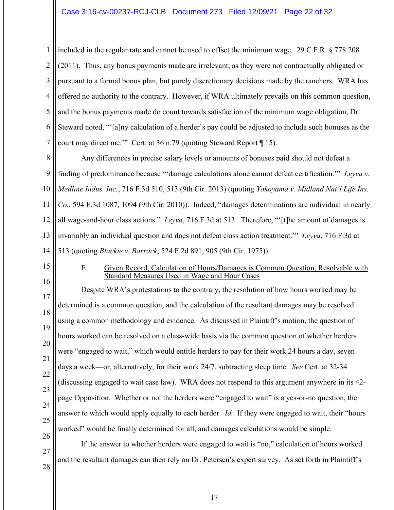1 2 3 4 5 6 7 included in the regular rate and cannot be used to offset the minimum wage. 29 C.F.R. § 778.208 (2011). Thus, any bonus payments made are irrelevant, as they were not contractually obligated or pursuant to a formal bonus plan, but purely discretionary decisions made by the ranchers. WRA has offered no authority to the contrary. However, if WRA ultimately prevails on this common question, and the bonus payments made do count towards satisfaction of the minimum wage obligation, Dr. Steward noted, "'[a]ny calculation of a herder's pay could be adjusted to include such bonuses as the court may direct me.'" Cert. at 36 n.79 (quoting Steward Report ¶ 15).

8 9 10 11 12 13 14 Any differences in precise salary levels or amounts of bonuses paid should not defeat a finding of predominance because "'damage calculations alone cannot defeat certification.'" *Leyva v. Medline Indus. Inc.*, 716 F.3d 510, 513 (9th Cir. 2013) (quoting *Yokoyama v. Midland Nat'l Life Ins. Co.*, 594 F.3d 1087, 1094 (9th Cir. 2010)). Indeed, "damages determinations are individual in nearly all wage-and-hour class actions." *Leyva*, 716 F.3d at 513. Therefore, "'[t]he amount of damages is invariably an individual question and does not defeat class action treatment.'" *Leyva*, 716 F.3d at 513 (quoting *Blackie v. Barrack*, 524 F.2d 891, 905 (9th Cir. 1975)).

- 15
- 16

27

28

### E. Given Record, Calculation of Hours/Damages is Common Question, Resolvable with Standard Measures Used in Wage and Hour Cases

17 18 19 20 21 22 23 24 25 26 Despite WRA's protestations to the contrary, the resolution of how hours worked may be determined is a common question, and the calculation of the resultant damages may be resolved using a common methodology and evidence. As discussed in Plaintiff's motion, the question of hours worked can be resolved on a class-wide basis via the common question of whether herders were "engaged to wait," which would entitle herders to pay for their work 24 hours a day, seven days a week—or, alternatively, for their work 24/7, subtracting sleep time. *See* Cert. at 32-34 (discussing engaged to wait case law). WRA does not respond to this argument anywhere in its 42 page Opposition. Whether or not the herders were "engaged to wait" is a yes-or-no question, the answer to which would apply equally to each herder. *Id.* If they were engaged to wait, their "hours worked" would be finally determined for all, and damages calculations would be simple.

If the answer to whether herders were engaged to wait is "no," calculation of hours worked and the resultant damages can then rely on Dr. Petersen's expert survey. As set forth in Plaintiff's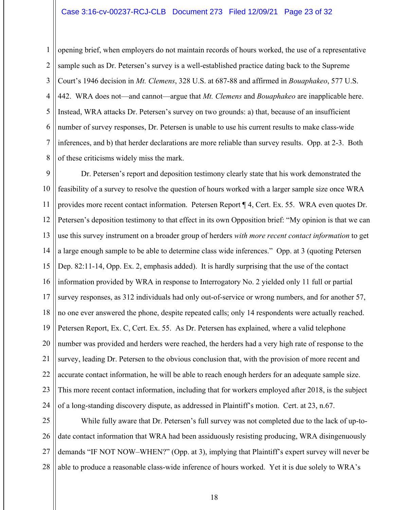### Case 3:16-cv-00237-RCJ-CLB Document 273 Filed 12/09/21 Page 23 of 32

1 2 3 4 5 6 7 8 opening brief, when employers do not maintain records of hours worked, the use of a representative sample such as Dr. Petersen's survey is a well-established practice dating back to the Supreme Court's 1946 decision in *Mt. Clemens*, 328 U.S. at 687-88 and affirmed in *Bouaphakeo*, 577 U.S. 442. WRA does not—and cannot—argue that *Mt. Clemens* and *Bouaphakeo* are inapplicable here. Instead, WRA attacks Dr. Petersen's survey on two grounds: a) that, because of an insufficient number of survey responses, Dr. Petersen is unable to use his current results to make class-wide inferences, and b) that herder declarations are more reliable than survey results. Opp. at 2-3. Both of these criticisms widely miss the mark.

9 10 11 12 13 14 15 16 17 18 19 20 21 22 23 24 Dr. Petersen's report and deposition testimony clearly state that his work demonstrated the feasibility of a survey to resolve the question of hours worked with a larger sample size once WRA provides more recent contact information. Petersen Report ¶ 4, Cert. Ex. 55. WRA even quotes Dr. Petersen's deposition testimony to that effect in its own Opposition brief: "My opinion is that we can use this survey instrument on a broader group of herders *with more recent contact information* to get a large enough sample to be able to determine class wide inferences." Opp. at 3 (quoting Petersen Dep. 82:11-14, Opp. Ex. 2, emphasis added). It is hardly surprising that the use of the contact information provided by WRA in response to Interrogatory No. 2 yielded only 11 full or partial survey responses, as 312 individuals had only out-of-service or wrong numbers, and for another 57, no one ever answered the phone, despite repeated calls; only 14 respondents were actually reached. Petersen Report, Ex. C, Cert. Ex. 55. As Dr. Petersen has explained, where a valid telephone number was provided and herders were reached, the herders had a very high rate of response to the survey, leading Dr. Petersen to the obvious conclusion that, with the provision of more recent and accurate contact information, he will be able to reach enough herders for an adequate sample size. This more recent contact information, including that for workers employed after 2018, is the subject of a long-standing discovery dispute, as addressed in Plaintiff's motion. Cert. at 23, n.67.

25 26 27 28 While fully aware that Dr. Petersen's full survey was not completed due to the lack of up-todate contact information that WRA had been assiduously resisting producing, WRA disingenuously demands "IF NOT NOW–WHEN?" (Opp. at 3), implying that Plaintiff's expert survey will never be able to produce a reasonable class-wide inference of hours worked. Yet it is due solely to WRA's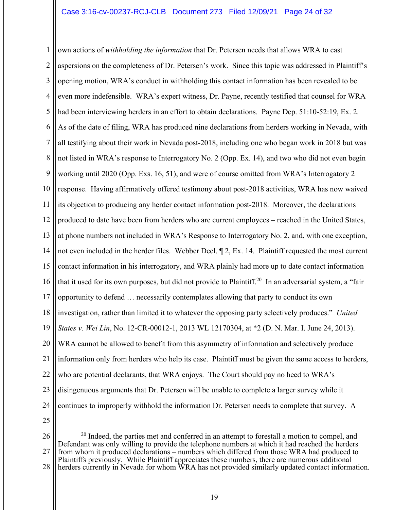### Case 3:16-cv-00237-RCJ-CLB Document 273 Filed 12/09/21 Page 24 of 32

1 2 3 4 5 6 7 8 9 10 11 12 13 14 15 16 17 18 19 20 21 22 23 24 own actions of *withholding the information* that Dr. Petersen needs that allows WRA to cast aspersions on the completeness of Dr. Petersen's work. Since this topic was addressed in Plaintiff's opening motion, WRA's conduct in withholding this contact information has been revealed to be even more indefensible. WRA's expert witness, Dr. Payne, recently testified that counsel for WRA had been interviewing herders in an effort to obtain declarations. Payne Dep. 51:10-52:19, Ex. 2. As of the date of filing, WRA has produced nine declarations from herders working in Nevada, with all testifying about their work in Nevada post-2018, including one who began work in 2018 but was not listed in WRA's response to Interrogatory No. 2 (Opp. Ex. 14), and two who did not even begin working until 2020 (Opp. Exs. 16, 51), and were of course omitted from WRA's Interrogatory 2 response. Having affirmatively offered testimony about post-2018 activities, WRA has now waived its objection to producing any herder contact information post-2018. Moreover, the declarations produced to date have been from herders who are current employees – reached in the United States, at phone numbers not included in WRA's Response to Interrogatory No. 2, and, with one exception, not even included in the herder files. Webber Decl. ¶ 2, Ex. 14. Plaintiff requested the most current contact information in his interrogatory, and WRA plainly had more up to date contact information that it used for its own purposes, but did not provide to Plaintiff.<sup>20</sup> In an adversarial system, a "fair" opportunity to defend … necessarily contemplates allowing that party to conduct its own investigation, rather than limited it to whatever the opposing party selectively produces." *United States v. Wei Lin*, No. 12-CR-00012-1, 2013 WL 12170304, at \*2 (D. N. Mar. I. June 24, 2013). WRA cannot be allowed to benefit from this asymmetry of information and selectively produce information only from herders who help its case. Plaintiff must be given the same access to herders, who are potential declarants, that WRA enjoys. The Court should pay no heed to WRA's disingenuous arguments that Dr. Petersen will be unable to complete a larger survey while it continues to improperly withhold the information Dr. Petersen needs to complete that survey. A

<sup>26</sup> 27 28  $20$  Indeed, the parties met and conferred in an attempt to forestall a motion to compel, and Defendant was only willing to provide the telephone numbers at which it had reached the herders from whom it produced declarations – numbers which differed from those WRA had produced to Plaintiffs previously. While Plaintiff appreciates these numbers, there are numerous additional herders currently in Nevada for whom WRA has not provided similarly updated contact information.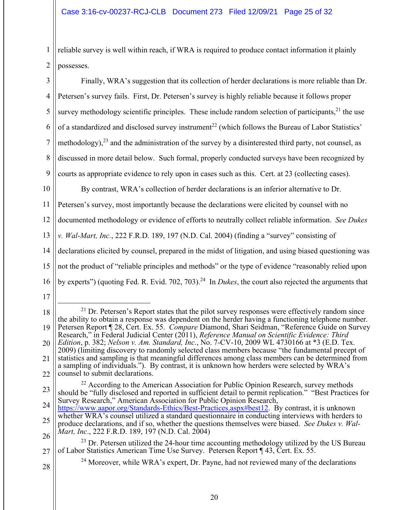1 2 reliable survey is well within reach, if WRA is required to produce contact information it plainly possesses.

| 3              | Finally, WRA's suggestion that its collection of herder declarations is more reliable than Dr.                   |
|----------------|------------------------------------------------------------------------------------------------------------------|
| $\overline{4}$ | Petersen's survey fails. First, Dr. Petersen's survey is highly reliable because it follows proper               |
| 5              | survey methodology scientific principles. These include random selection of participants, $21$ the use           |
| 6              | of a standardized and disclosed survey instrument <sup>22</sup> (which follows the Bureau of Labor Statistics'   |
| $\tau$         | methodology), <sup>23</sup> and the administration of the survey by a disinterested third party, not counsel, as |
| $\, 8$         | discussed in more detail below. Such formal, properly conducted surveys have been recognized by                  |
| 9              | courts as appropriate evidence to rely upon in cases such as this. Cert. at 23 (collecting cases).               |
| 10             | By contrast, WRA's collection of herder declarations is an inferior alternative to Dr.                           |
| 11             | Petersen's survey, most importantly because the declarations were elicited by counsel with no                    |
| 12             | documented methodology or evidence of efforts to neutrally collect reliable information. See Dukes               |
| 13             | v. Wal-Mart, Inc., 222 F.R.D. 189, 197 (N.D. Cal. 2004) (finding a "survey" consisting of                        |
| 14             | declarations elicited by counsel, prepared in the midst of litigation, and using biased questioning was          |
| 15             | not the product of "reliable principles and methods" or the type of evidence "reasonably relied upon             |
|                |                                                                                                                  |

17

<sup>18</sup> 19 20 21 22  $21$  Dr. Petersen's Report states that the pilot survey responses were effectively random since the ability to obtain a response was dependent on the herder having a functioning telephone number. Petersen Report ¶ 28, Cert. Ex. 55. *Compare* Diamond, Shari Seidman, "Reference Guide on Survey Research," in Federal Judicial Center (2011), *Reference Manual on Scientific Evidence: Third Edition*, p. 382; *Nelson v. Am. Standard, Inc.*, No. 7-CV-10, 2009 WL 4730166 at \*3 (E.D. Tex. 2009) (limiting discovery to randomly selected class members because "the fundamental precept of statistics and sampling is that meaningful differences among class members can be determined from a sampling of individuals."). By contrast, it is unknown how herders were selected by WRA's counsel to submit declarations.

<sup>23</sup> 24  $22$  According to the American Association for Public Opinion Research, survey methods should be "fully disclosed and reported in sufficient detail to permit replication." "Best Practices for Survey Research," American Association for Public Opinion Research,

<sup>25</sup> 26 https://www.aapor.org/Standards-Ethics/Best-Practices.aspx#best12. By contrast, it is unknown whether WRA's counsel utilized a standard questionnaire in conducting interviews with herders to produce declarations, and if so, whether the questions themselves were biased. *See Dukes v. Wal-Mart, Inc.*, 222 F.R.D. 189, 197 (N.D. Cal. 2004)

<sup>27</sup>  $^{23}$  Dr. Petersen utilized the 24-hour time accounting methodology utilized by the US Bureau of Labor Statistics American Time Use Survey. Petersen Report ¶ 43, Cert. Ex. 55.

<sup>&</sup>lt;sup>24</sup> Moreover, while WRA's expert, Dr. Payne, had not reviewed many of the declarations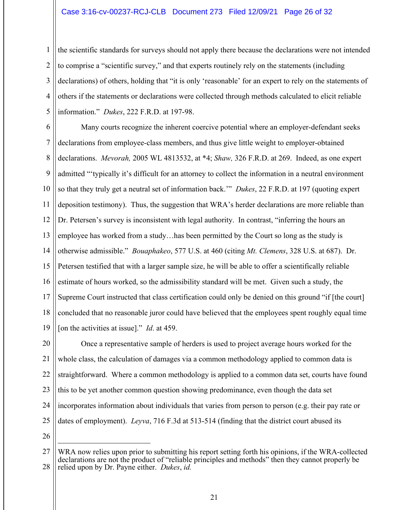### Case 3:16-cv-00237-RCJ-CLB Document 273 Filed 12/09/21 Page 26 of 32

1 2 3 4 5 the scientific standards for surveys should not apply there because the declarations were not intended to comprise a "scientific survey," and that experts routinely rely on the statements (including declarations) of others, holding that "it is only 'reasonable' for an expert to rely on the statements of others if the statements or declarations were collected through methods calculated to elicit reliable information." *Dukes*, 222 F.R.D. at 197-98.

6 7 8 9 10 11 12 13 14 15 16 17 18 19 Many courts recognize the inherent coercive potential where an employer-defendant seeks declarations from employee-class members, and thus give little weight to employer-obtained declarations. *Mevorah,* 2005 WL 4813532, at \*4; *Shaw,* 326 F.R.D. at 269. Indeed, as one expert admitted "'typically it's difficult for an attorney to collect the information in a neutral environment so that they truly get a neutral set of information back.'" *Dukes*, 22 F.R.D. at 197 (quoting expert deposition testimony). Thus, the suggestion that WRA's herder declarations are more reliable than Dr. Petersen's survey is inconsistent with legal authority. In contrast, "inferring the hours an employee has worked from a study…has been permitted by the Court so long as the study is otherwise admissible." *Bouaphakeo*, 577 U.S. at 460 (citing *Mt. Clemens*, 328 U.S. at 687). Dr. Petersen testified that with a larger sample size, he will be able to offer a scientifically reliable estimate of hours worked, so the admissibility standard will be met. Given such a study, the Supreme Court instructed that class certification could only be denied on this ground "if [the court] concluded that no reasonable juror could have believed that the employees spent roughly equal time [on the activities at issue]." *Id*. at 459.

20 21 22 23 24 25 Once a representative sample of herders is used to project average hours worked for the whole class, the calculation of damages via a common methodology applied to common data is straightforward. Where a common methodology is applied to a common data set, courts have found this to be yet another common question showing predominance, even though the data set incorporates information about individuals that varies from person to person (e.g. their pay rate or dates of employment). *Leyva*, 716 F.3d at 513-514 (finding that the district court abused its

<sup>27</sup> 28 WRA now relies upon prior to submitting his report setting forth his opinions, if the WRA-collected declarations are not the product of "reliable principles and methods" then they cannot properly be relied upon by Dr. Payne either. *Dukes*, *id.*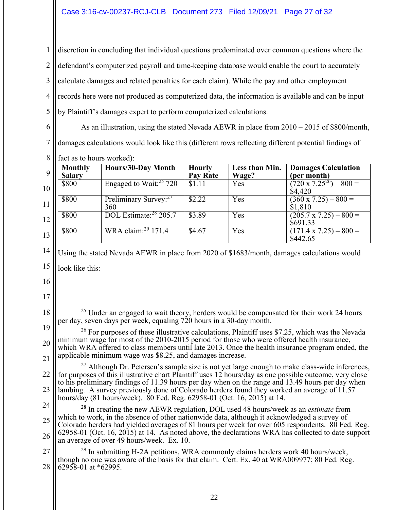1 2 3 4 5 discretion in concluding that individual questions predominated over common questions where the defendant's computerized payroll and time-keeping database would enable the court to accurately calculate damages and related penalties for each claim). While the pay and other employment records here were not produced as computerized data, the information is available and can be input by Plaintiff's damages expert to perform computerized calculations.

6

As an illustration, using the stated Nevada AEWR in place from 2010 – 2015 of \$800/month, damages calculations would look like this (different rows reflecting different potential findings of

7 8<sup>II</sup> fact as to hours worked):

|    | <b>Monthly</b> | Hours/30-Day Month                       | <b>Hourly</b>   | Less than Min. | <b>Damages Calculation</b>                  |
|----|----------------|------------------------------------------|-----------------|----------------|---------------------------------------------|
| 9  | <b>Salary</b>  |                                          | <b>Pay Rate</b> | Wage?          | (per month)                                 |
| 10 | \$800          | Engaged to Wait: $25\ 720$               | \$1.11          | Yes            | $(720 \times 7.25^{26}) - 800 =$<br>\$4,420 |
| 11 | \$800          | Preliminary Survey: <sup>27</sup><br>360 | \$2.22          | Yes            | $(360 \times 7.25) - 800 =$<br>\$1,810      |
| 12 | \$800          | DOL Estimate: <sup>28</sup> 205.7        | \$3.89          | Yes            | $(205.7 \times 7.25) - 800 =$<br>\$691.33   |
| 13 | \$800          | WRA claim: $^{29}$ 171.4                 | \$4.67          | Yes            | $(171.4 \times 7.25) - 800 =$<br>\$442.65   |

14 15 Using the stated Nevada AEWR in place from 2020 of \$1683/month, damages calculations would look like this:

16

- 
- 17 18

 $25$  Under an engaged to wait theory, herders would be compensated for their work 24 hours per day, seven days per week, equaling 720 hours in a 30-day month.

19 20 21  $26$  For purposes of these illustrative calculations, Plaintiff uses \$7.25, which was the Nevada minimum wage for most of the 2010-2015 period for those who were offered health insurance, which WRA offered to class members until late 2013. Once the health insurance program ended, the applicable minimum wage was \$8.25, and damages increase.

22 23  $^{27}$  Although Dr. Petersen's sample size is not yet large enough to make class-wide inferences, for purposes of this illustrative chart Plaintiff uses 12 hours/day as one possible outcome, very close to his preliminary findings of 11.39 hours per day when on the range and 13.49 hours per day when lambing. A survey previously done of Colorado herders found they worked an average of 11.57 hours/day (81 hours/week). 80 Fed. Reg. 62958-01 (Oct. 16, 2015) at 14.

24 25 26 28 In creating the new AEWR regulation, DOL used 48 hours/week as an *estimate* from which to work, in the absence of other nationwide data, although it acknowledged a survey of Colorado herders had yielded averages of 81 hours per week for over 605 respondents. 80 Fed. Reg. 62958-01 (Oct. 16, 2015) at 14. As noted above, the declarations WRA has collected to date support an average of over 49 hours/week. Ex. 10.

27 28  $^{29}$  In submitting H-2A petitions, WRA commonly claims herders work 40 hours/week, though no one was aware of the basis for that claim. Cert. Ex. 40 at WRA009977; 80 Fed. Reg. 62958-01 at \*62995.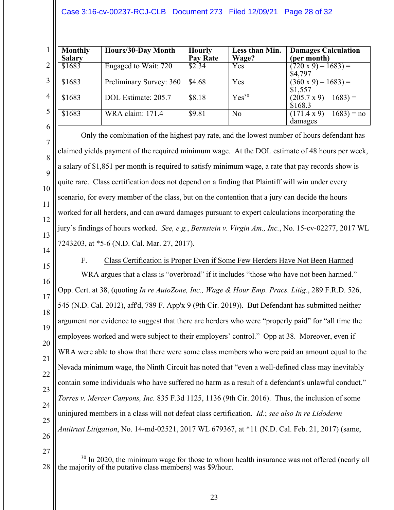### Case 3:16-cv-00237-RCJ-CLB Document 273 Filed 12/09/21 Page 28 of 32

|                | Monthly<br><b>Salary</b> | Hours/30-Day Month      | <b>Hourly</b><br><b>Pay Rate</b> | Less than Min.<br>Wage? | <b>Damages Calculation</b><br>(per month)   |
|----------------|--------------------------|-------------------------|----------------------------------|-------------------------|---------------------------------------------|
|                | \$1683                   | Engaged to Wait: 720    | \$2.34                           | Yes                     | $(720 \times 9) - 1683) =$<br>\$4,797       |
|                | \$1683                   | Preliminary Survey: 360 | \$4.68                           | Yes                     | $(360 \times 9) - 1683$ ) =<br>\$1,557      |
| 4 <sup>1</sup> | \$1683                   | DOL Estimate: 205.7     | \$8.18                           | $Yes^{30}$              | $(205.7 \times 9) - 1683) =$<br>\$168.3     |
| 5 <sup>1</sup> | \$1683                   | WRA claim: 171.4        | \$9.81                           | N <sub>o</sub>          | $(171.4 \times 9) - 1683$ ) = no<br>damages |
| 6              |                          |                         |                                  |                         |                                             |

Only the combination of the highest pay rate, and the lowest number of hours defendant has claimed yields payment of the required minimum wage. At the DOL estimate of 48 hours per week, a salary of \$1,851 per month is required to satisfy minimum wage, a rate that pay records show is quite rare. Class certification does not depend on a finding that Plaintiff will win under every scenario, for every member of the class, but on the contention that a jury can decide the hours worked for all herders, and can award damages pursuant to expert calculations incorporating the jury's findings of hours worked. *See, e.g.*, *Bernstein v. Virgin Am., Inc.*, No. 15-cv-02277, 2017 WL 7243203, at \*5-6 (N.D. Cal. Mar. 27, 2017).

14

7

8

9

10

11

12

13

F. Class Certification is Proper Even if Some Few Herders Have Not Been Harmed

15 16 17 18 19 20 21 22 23 24 25 26 WRA argues that a class is "overbroad" if it includes "those who have not been harmed." Opp. Cert. at 38, (quoting *In re AutoZone, Inc., Wage & Hour Emp. Pracs. Litig.*, 289 F.R.D. 526, 545 (N.D. Cal. 2012), aff'd, 789 F. App'x 9 (9th Cir. 2019)). But Defendant has submitted neither argument nor evidence to suggest that there are herders who were "properly paid" for "all time the employees worked and were subject to their employers' control." Opp at 38. Moreover, even if WRA were able to show that there were some class members who were paid an amount equal to the Nevada minimum wage, the Ninth Circuit has noted that "even a well-defined class may inevitably contain some individuals who have suffered no harm as a result of a defendant's unlawful conduct." *Torres v. Mercer Canyons, Inc.* 835 F.3d 1125, 1136 (9th Cir. 2016). Thus, the inclusion of some uninjured members in a class will not defeat class certification. *Id*.; *see also In re Lidoderm Antitrust Litigation*, No. 14-md-02521, 2017 WL 679367, at \*11 (N.D. Cal. Feb. 21, 2017) (same,

<sup>28</sup> <sup>30</sup> In 2020, the minimum wage for those to whom health insurance was not offered (nearly all the majority of the putative class members) was \$9/hour.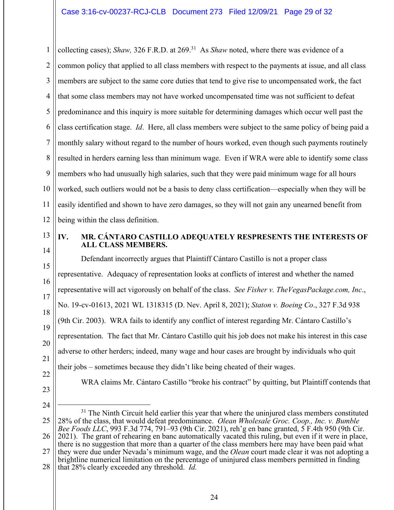1 2 3 4 5 6 7 8 9 10 11 12 collecting cases); *Shaw*, 326 F.R.D. at 269.<sup>31</sup> As *Shaw* noted, where there was evidence of a common policy that applied to all class members with respect to the payments at issue, and all class members are subject to the same core duties that tend to give rise to uncompensated work, the fact that some class members may not have worked uncompensated time was not sufficient to defeat predominance and this inquiry is more suitable for determining damages which occur well past the class certification stage. *Id*. Here, all class members were subject to the same policy of being paid a monthly salary without regard to the number of hours worked, even though such payments routinely resulted in herders earning less than minimum wage. Even if WRA were able to identify some class members who had unusually high salaries, such that they were paid minimum wage for all hours worked, such outliers would not be a basis to deny class certification—especially when they will be easily identified and shown to have zero damages, so they will not gain any unearned benefit from being within the class definition.

14

13

### **IV. MR. CÁNTARO CASTILLO ADEQUATELY RESPRESENTS THE INTERESTS OF ALL CLASS MEMBERS.**

15 16 17 18 19 20 21 Defendant incorrectly argues that Plaintiff Cántaro Castillo is not a proper class representative. Adequacy of representation looks at conflicts of interest and whether the named representative will act vigorously on behalf of the class. *See Fisher v. TheVegasPackage.com, Inc*., No. 19-cv-01613, 2021 WL 1318315 (D. Nev. April 8, 2021); *Staton v. Boeing Co*., 327 F.3d 938 (9th Cir. 2003). WRA fails to identify any conflict of interest regarding Mr. Cántaro Castillo's representation. The fact that Mr. Cántaro Castillo quit his job does not make his interest in this case adverse to other herders; indeed, many wage and hour cases are brought by individuals who quit their jobs – sometimes because they didn't like being cheated of their wages.

- 22
- 23

WRA claims Mr. Cántaro Castillo "broke his contract" by quitting, but Plaintiff contends that

<sup>25</sup> 26 27 28  $31$  The Ninth Circuit held earlier this year that where the uninjured class members constituted 28% of the class, that would defeat predominance. *Olean Wholesale Groc. Coop., Inc. v. Bumble Bee Foods LLC*, 993 F.3d 774, 791–93 (9th Cir. 2021), reh'g en banc granted, 5 F.4th 950 (9th Cir. 2021). The grant of rehearing en banc automatically vacated this ruling, but even if it were in place, there is no suggestion that more than a quarter of the class members here may have been paid what they were due under Nevada's minimum wage, and the *Olean* court made clear it was not adopting a brightline numerical limitation on the percentage of uninjured class members permitted in finding that 28% clearly exceeded any threshold. *Id.*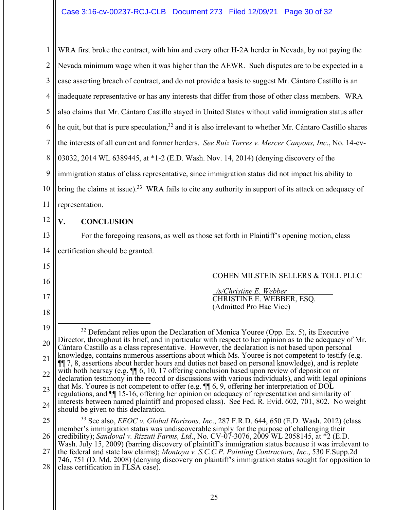1 2 3 4 5 6 7 8 9 10 11 12 13 14 15 16 17 18 19 20 21 22 23 24 25 26 27 28 WRA first broke the contract, with him and every other H-2A herder in Nevada, by not paying the Nevada minimum wage when it was higher than the AEWR. Such disputes are to be expected in a case asserting breach of contract, and do not provide a basis to suggest Mr. Cántaro Castillo is an inadequate representative or has any interests that differ from those of other class members. WRA also claims that Mr. Cántaro Castillo stayed in United States without valid immigration status after he quit, but that is pure speculation,  $32$  and it is also irrelevant to whether Mr. Cántaro Castillo shares the interests of all current and former herders. *See Ruiz Torres v. Mercer Canyons, Inc*., No. 14-cv-03032, 2014 WL 6389445, at \*1-2 (E.D. Wash. Nov. 14, 2014) (denying discovery of the immigration status of class representative, since immigration status did not impact his ability to bring the claims at issue).<sup>33</sup> WRA fails to cite any authority in support of its attack on adequacy of representation. **V. CONCLUSION**  For the foregoing reasons, as well as those set forth in Plaintiff's opening motion, class certification should be granted. COHEN MILSTEIN SELLERS & TOLL PLLC \_*/s/Christine E. Webber*\_\_\_\_\_\_\_\_\_\_\_\_ CHRISTINE E. WEBBER, ESQ. (Admitted Pro Hac Vice)  $32$  Defendant relies upon the Declaration of Monica Youree (Opp. Ex. 5), its Executive Director, throughout its brief, and in particular with respect to her opinion as to the adequacy of Mr. Cántaro Castillo as a class representative. However, the declaration is not based upon personal knowledge, contains numerous assertions about which Ms. Youree is not competent to testify (e.g. ¶¶ 7, 8, assertions about herder hours and duties not based on personal knowledge), and is replete with both hearsay (e.g.  $\P$  6, 10, 17 offering conclusion based upon review of deposition or declaration testimony in the record or discussions with various individuals), and with legal opinions that Ms. Youree is not competent to offer (e.g. ¶¶ 6, 9, offering her interpretation of DOL regulations, and ¶¶ 15-16, offering her opinion on adequacy of representation and similarity of interests between named plaintiff and proposed class). See Fed. R. Evid. 602, 701, 802. No weight should be given to this declaration. 33 See also, *EEOC v. Global Horizons, Inc*., 287 F.R.D. 644, 650 (E.D. Wash. 2012) (class member's immigration status was undiscoverable simply for the purpose of challenging their credibility); *Sandoval v. Rizzuti Farms, Ltd*., No. CV-07-3076, 2009 WL 2058145, at \*2 (E.D. Wash. July 15, 2009) (barring discovery of plaintiff's immigration status because it was irrelevant to the federal and state law claims); *Montoya v. S.C.C.P. Painting Contractors, Inc*., 530 F.Supp.2d 746, 751 (D. Md. 2008) (denying discovery on plaintiff's immigration status sought for opposition to class certification in FLSA case).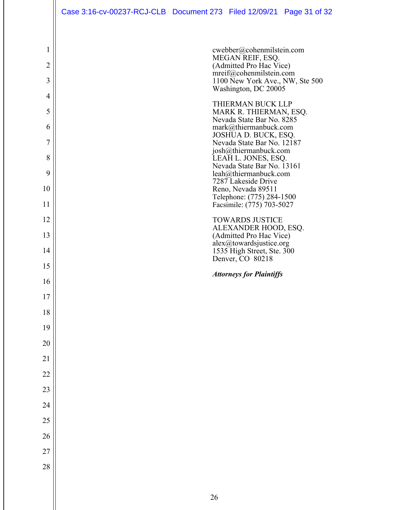## Case 3:16-cv-00237-RCJ-CLB Document 273 Filed 12/09/21 Page 31 of 32

| $\mathbf{1}$   | cwebber@cohenmilstein.com                                  |
|----------------|------------------------------------------------------------|
| $\overline{2}$ | MEGAN REIF, ESQ.<br>(Admitted Pro Hac Vice)                |
| 3              | mreif@cohenmilstein.com<br>1100 New York Ave., NW, Ste 500 |
| $\overline{4}$ | Washington, DC 20005                                       |
| 5              | THIERMAN BUCK LLP<br>MARK R. THIERMAN, ESQ.                |
| 6              | Nevada State Bar No. 8285<br>mark@thiermanbuck.com         |
| 7              | JOSHUA D. BUCK, ESQ.<br>Nevada State Bar No. 12187         |
| 8              | josh@thiermanbuck.com<br>LEAH L. JONES, ESQ.               |
| 9              | Nevada State Bar No. 13161<br>leah@thiermanbuck.com        |
| 10             | 7287 Lakeside Drive<br>Reno, Nevada 89511                  |
| 11             | Telephone: (775) 284-1500<br>Facsimile: (775) 703-5027     |
| 12             | <b>TOWARDS JUSTICE</b>                                     |
| 13             | ALEXANDER HOOD, ESQ.<br>(Admitted Pro Hac Vice)            |
| 14             | alex@towardsjustice.org<br>1535 High Street, Ste. 300      |
| 15             | Denver, CO 80218                                           |
| 16             | <b>Attorneys for Plaintiffs</b>                            |
| 17             |                                                            |
| 18             |                                                            |
| 19             |                                                            |
| 20             |                                                            |
| 21             |                                                            |
| 22             |                                                            |
| 23             |                                                            |
| 24             |                                                            |
| 25             |                                                            |
| 26             |                                                            |
| 27             |                                                            |
| 28             |                                                            |
|                |                                                            |
|                |                                                            |